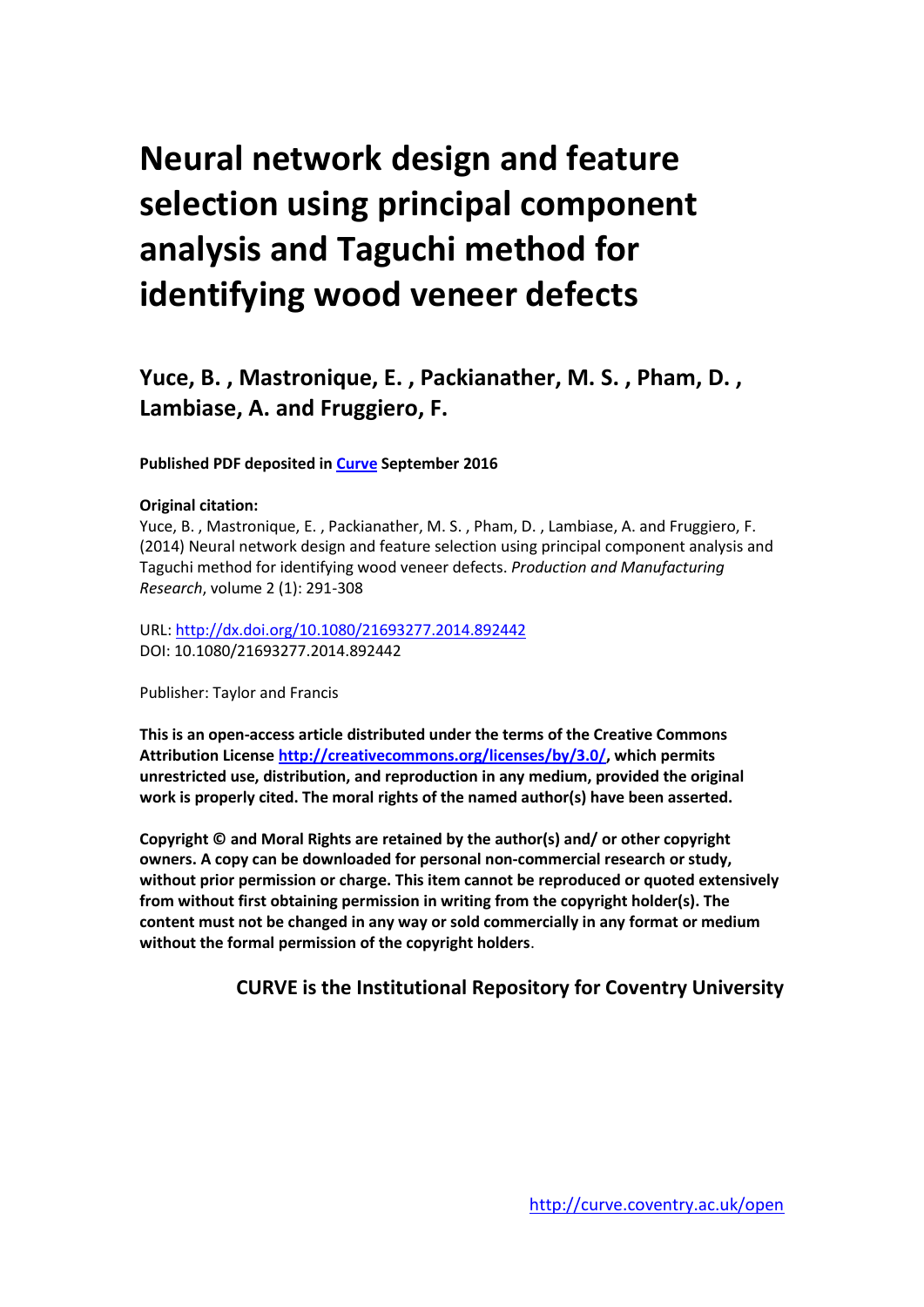# **Neural network design and feature selection using principal component analysis and Taguchi method for identifying wood veneer defects**

# **Yuce, B. , Mastronique, E. , Packianather, M. S. , Pham, D. , Lambiase, A. and Fruggiero, F.**

### **Published PDF deposited in [Curve](http://curve.coventry.ac.uk/open) September 2016**

### **Original citation:**

Yuce, B. , Mastronique, E. , Packianather, M. S. , Pham, D. , Lambiase, A. and Fruggiero, F. (2014) Neural network design and feature selection using principal component analysis and Taguchi method for identifying wood veneer defects. *Production and Manufacturing Research*, volume 2 (1): 291-308

URL:<http://dx.doi.org/10.1080/21693277.2014.892442> DOI: 10.1080/21693277.2014.892442

Publisher: Taylor and Francis

**This is an open-access article distributed under the terms of the Creative Commons Attribution Licens[e http://creativecommons.org/licenses/by/3.0/,](http://creativecommons.org/licenses/by/3.0/) which permits unrestricted use, distribution, and reproduction in any medium, provided the original work is properly cited. The moral rights of the named author(s) have been asserted.**

**Copyright © and Moral Rights are retained by the author(s) and/ or other copyright owners. A copy can be downloaded for personal non-commercial research or study, without prior permission or charge. This item cannot be reproduced or quoted extensively from without first obtaining permission in writing from the copyright holder(s). The content must not be changed in any way or sold commercially in any format or medium without the formal permission of the copyright holders**.

## **CURVE is the Institutional Repository for Coventry University**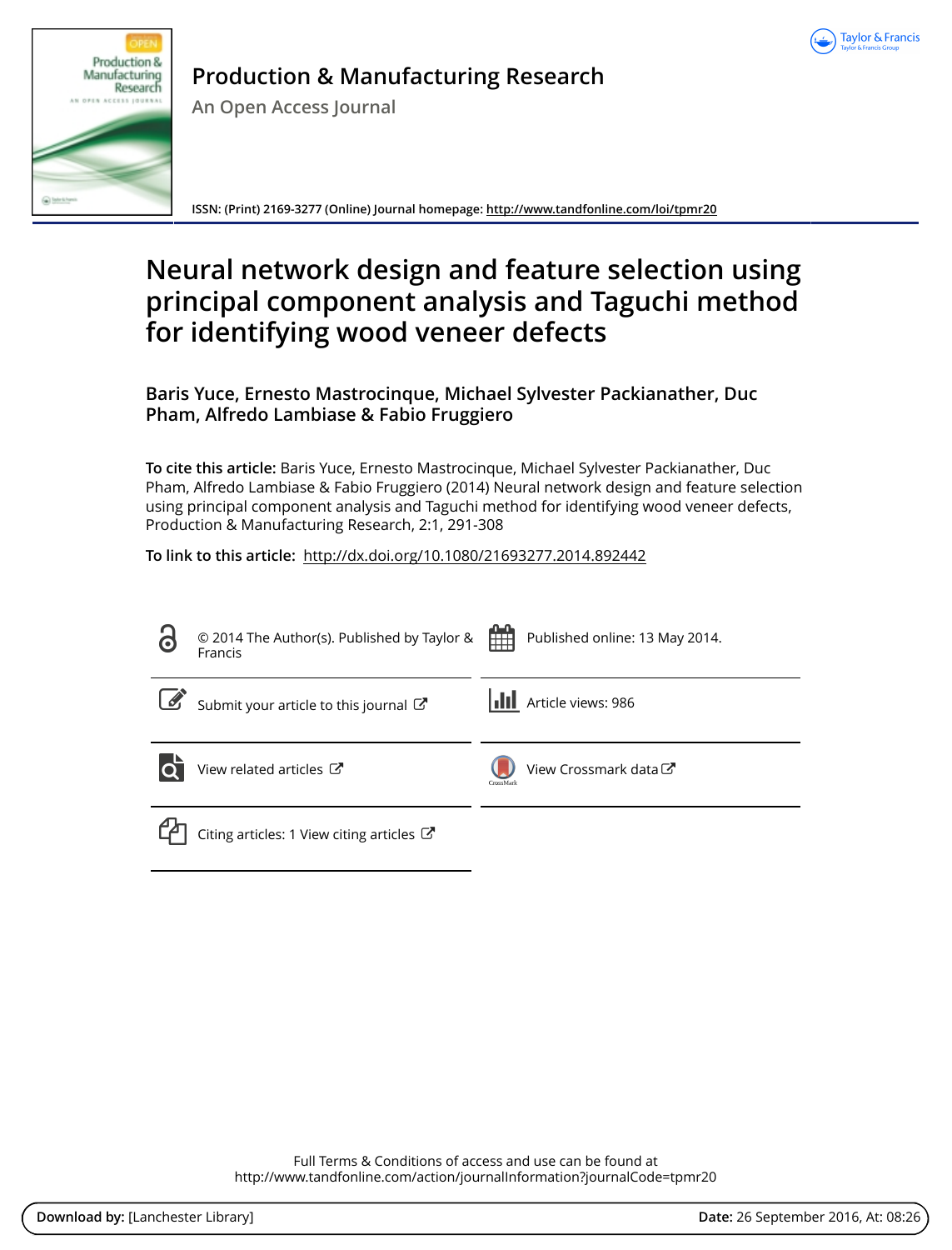



# **Production & Manufacturing Research**

**An Open Access Journal**

**ISSN: (Print) 2169-3277 (Online) Journal homepage:<http://www.tandfonline.com/loi/tpmr20>**

# **Neural network design and feature selection using principal component analysis and Taguchi method for identifying wood veneer defects**

**Baris Yuce, Ernesto Mastrocinque, Michael Sylvester Packianather, Duc Pham, Alfredo Lambiase & Fabio Fruggiero**

**To cite this article:** Baris Yuce, Ernesto Mastrocinque, Michael Sylvester Packianather, Duc Pham, Alfredo Lambiase & Fabio Fruggiero (2014) Neural network design and feature selection using principal component analysis and Taguchi method for identifying wood veneer defects, Production & Manufacturing Research, 2:1, 291-308

**To link to this article:** <http://dx.doi.org/10.1080/21693277.2014.892442>

| 8         | © 2014 The Author(s). Published by Taylor &<br>Francis | 雦<br>Published online: 13 May 2014.           |
|-----------|--------------------------------------------------------|-----------------------------------------------|
| $\bigcup$ | Submit your article to this journal                    | <b>III</b> Article views: 986                 |
|           | View related articles C                                | View Crossmark data <sup>C</sup><br>CrossMark |
|           | Citing articles: 1 View citing articles $\mathbb{Z}$   |                                               |

Full Terms & Conditions of access and use can be found at <http://www.tandfonline.com/action/journalInformation?journalCode=tpmr20>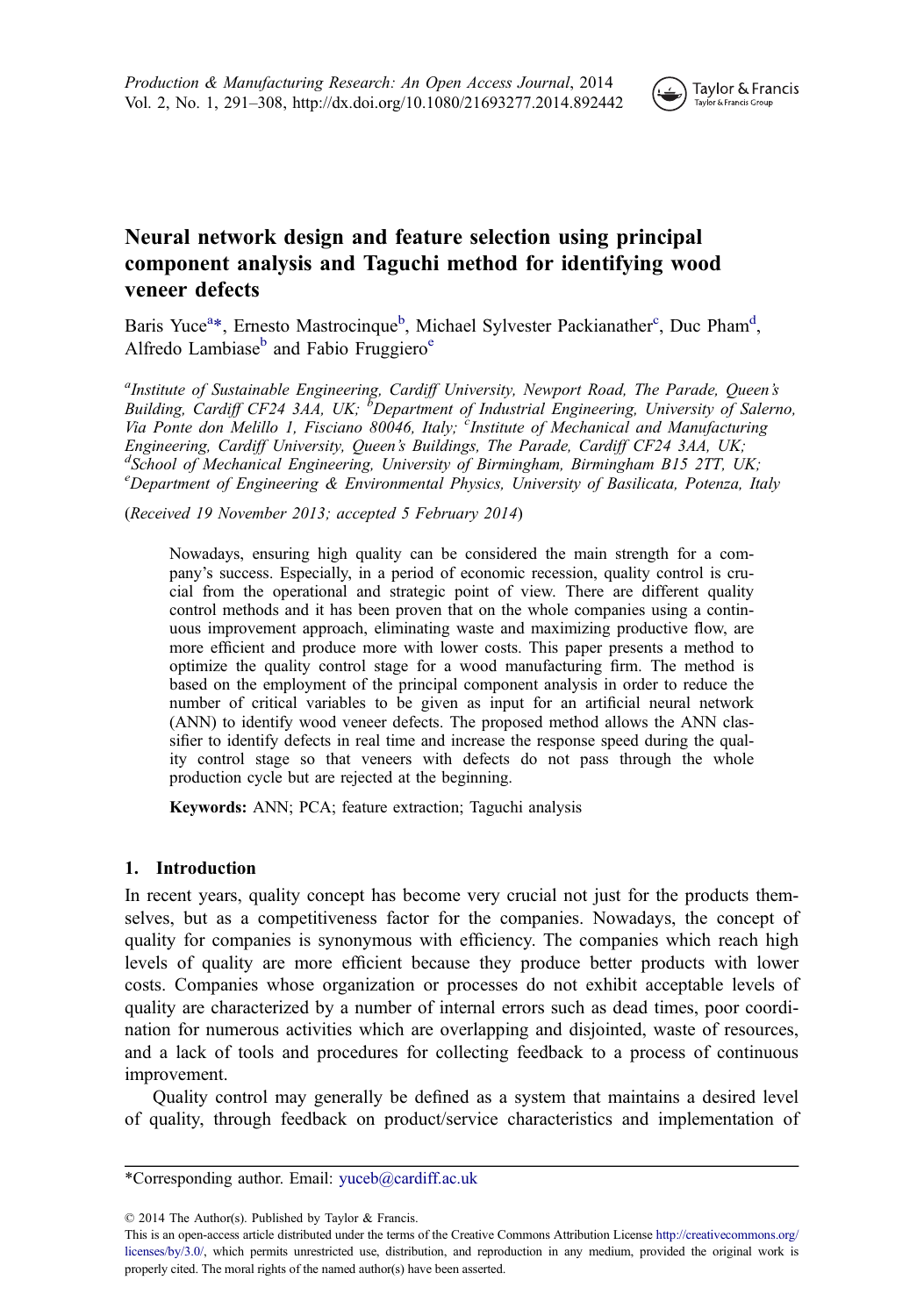

### Neural network design and feature selection using principal component analysis and Taguchi method for identifying wood veneer defects

Baris Yuce<sup>a\*</sup>, Ernesto Mastrocinque<sup>b</sup>, Michael Sylvester Packianather<sup>c</sup>, Duc Pham<sup>d</sup>, Alfredo Lambiase<sup>b</sup> and Fabio Fruggiero<sup>e</sup>

<sup>a</sup>Institute of Sustainable Engineering, Cardiff University, Newport Road, The Parade, Queen's Building, Cardiff CF24 3AA, UK;  $\overline{b}$ Department of Industrial Engineering, University of Salerno, Via Ponte don Melillo 1, Fisciano 80046, Italy; <sup>c</sup>Institute of Mechanical and Manufacturing Engineering, Cardiff University, Queen's Buildings, The Parade, Cardiff CF24 3AA, UK; <sup>d</sup>School of Mechanical Engineering, University of Birmingham, Birmingham B15 2TT, UK; <sup>e</sup>Department of Engineering & Environmental Physics, University of Basilicata, Potenza, Italy

(Received 19 November 2013; accepted 5 February 2014)

Nowadays, ensuring high quality can be considered the main strength for a company's success. Especially, in a period of economic recession, quality control is crucial from the operational and strategic point of view. There are different quality control methods and it has been proven that on the whole companies using a continuous improvement approach, eliminating waste and maximizing productive flow, are more efficient and produce more with lower costs. This paper presents a method to optimize the quality control stage for a wood manufacturing firm. The method is based on the employment of the principal component analysis in order to reduce the number of critical variables to be given as input for an artificial neural network (ANN) to identify wood veneer defects. The proposed method allows the ANN classifier to identify defects in real time and increase the response speed during the quality control stage so that veneers with defects do not pass through the whole production cycle but are rejected at the beginning.

Keywords: ANN; PCA; feature extraction; Taguchi analysis

#### 1. Introduction

In recent years, quality concept has become very crucial not just for the products themselves, but as a competitiveness factor for the companies. Nowadays, the concept of quality for companies is synonymous with efficiency. The companies which reach high levels of quality are more efficient because they produce better products with lower costs. Companies whose organization or processes do not exhibit acceptable levels of quality are characterized by a number of internal errors such as dead times, poor coordination for numerous activities which are overlapping and disjointed, waste of resources, and a lack of tools and procedures for collecting feedback to a process of continuous improvement.

Quality control may generally be defined as a system that maintains a desired level of quality, through feedback on product/service characteristics and implementation of

© 2014 The Author(s). Published by Taylor & Francis.

This is an open-access article distributed under the terms of the Creative Commons Attribution License [http://creativecommons.org/](http://creativecommons.org/licenses/by/3.0/) [licenses/by/3.0/,](http://creativecommons.org/licenses/by/3.0/) which permits unrestricted use, distribution, and reproduction in any medium, provided the original work is properly cited. The moral rights of the named author(s) have been asserted.

<sup>\*</sup>Corresponding author. Email: [yuceb@cardiff.ac.uk](mailto:yuceb@cardiff.ac.uk)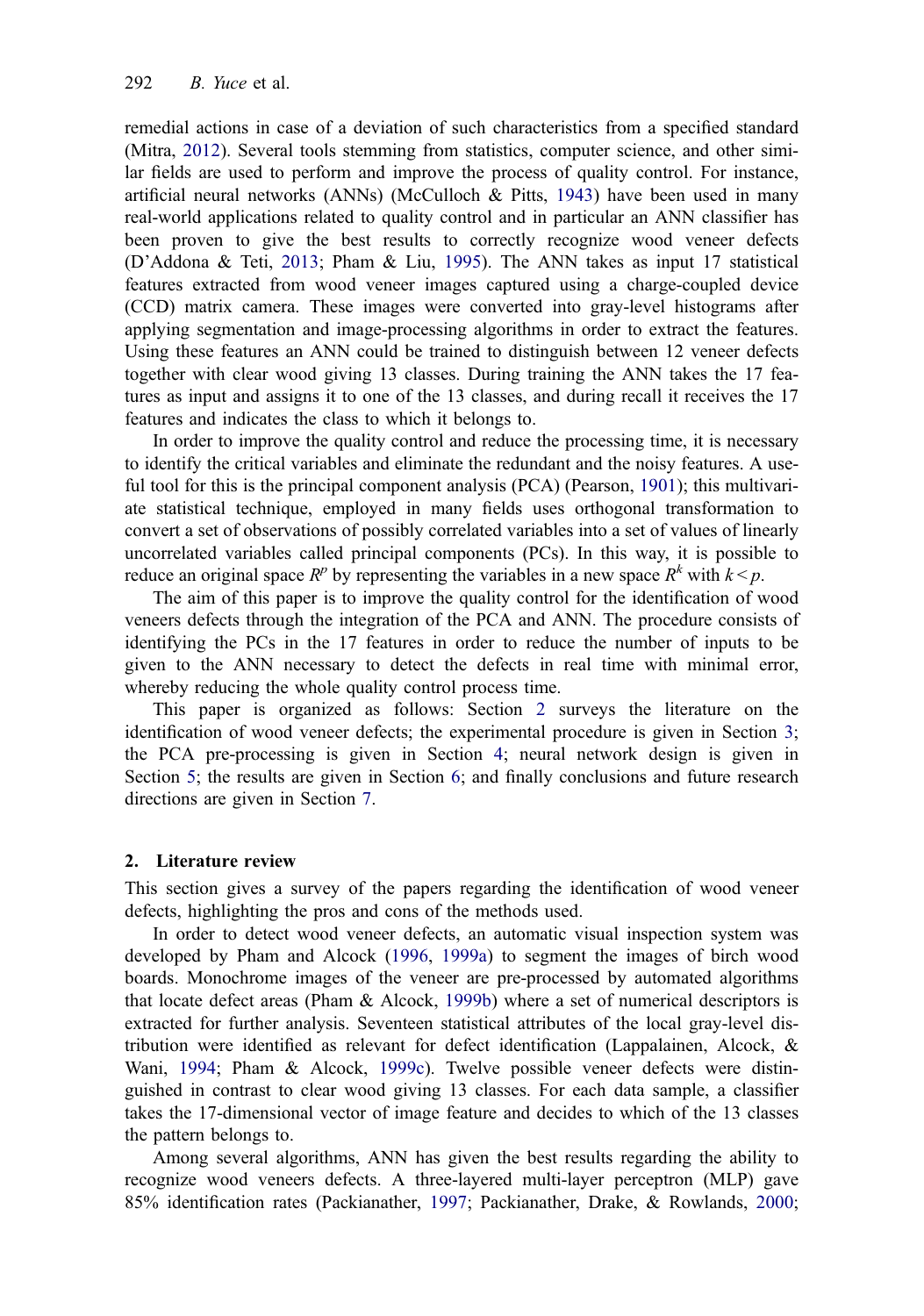remedial actions in case of a deviation of such characteristics from a specified standard (Mitra, [2012\)](#page-19-0). Several tools stemming from statistics, computer science, and other similar fields are used to perform and improve the process of quality control. For instance, artificial neural networks (ANNs) (McCulloch & Pitts, [1943\)](#page-19-0) have been used in many real-world applications related to quality control and in particular an ANN classifier has been proven to give the best results to correctly recognize wood veneer defects (D'Addona & Teti, [2013](#page-18-0); Pham & Liu, [1995](#page-19-0)). The ANN takes as input 17 statistical features extracted from wood veneer images captured using a charge-coupled device (CCD) matrix camera. These images were converted into gray-level histograms after applying segmentation and image-processing algorithms in order to extract the features. Using these features an ANN could be trained to distinguish between 12 veneer defects together with clear wood giving 13 classes. During training the ANN takes the 17 features as input and assigns it to one of the 13 classes, and during recall it receives the 17 features and indicates the class to which it belongs to.

In order to improve the quality control and reduce the processing time, it is necessary to identify the critical variables and eliminate the redundant and the noisy features. A useful tool for this is the principal component analysis (PCA) (Pearson, [1901\)](#page-19-0); this multivariate statistical technique, employed in many fields uses orthogonal transformation to convert a set of observations of possibly correlated variables into a set of values of linearly uncorrelated variables called principal components (PCs). In this way, it is possible to reduce an original space  $R^p$  by representing the variables in a new space  $R^k$  with  $k \leq p$ .

The aim of this paper is to improve the quality control for the identification of wood veneers defects through the integration of the PCA and ANN. The procedure consists of identifying the PCs in the 17 features in order to reduce the number of inputs to be given to the ANN necessary to detect the defects in real time with minimal error, whereby reducing the whole quality control process time.

This paper is organized as follows: Section 2 surveys the literature on the identification of wood veneer defects; the experimental procedure is given in Section [3;](#page-6-0) the PCA pre-processing is given in Section [4;](#page-6-0) neural network design is given in Section [5;](#page-13-0) the results are given in Section [6;](#page-13-0) and finally conclusions and future research directions are given in Section [7](#page-18-0).

#### 2. Literature review

This section gives a survey of the papers regarding the identification of wood veneer defects, highlighting the pros and cons of the methods used.

In order to detect wood veneer defects, an automatic visual inspection system was developed by Pham and Alcock ([1996,](#page-19-0) [1999a](#page-19-0)) to segment the images of birch wood boards. Monochrome images of the veneer are pre-processed by automated algorithms that locate defect areas (Pham & Alcock, [1999b\)](#page-19-0) where a set of numerical descriptors is extracted for further analysis. Seventeen statistical attributes of the local gray-level distribution were identified as relevant for defect identification (Lappalainen, Alcock, & Wani, [1994](#page-19-0); Pham & Alcock, [1999c\)](#page-19-0). Twelve possible veneer defects were distinguished in contrast to clear wood giving 13 classes. For each data sample, a classifier takes the 17-dimensional vector of image feature and decides to which of the 13 classes the pattern belongs to.

Among several algorithms, ANN has given the best results regarding the ability to recognize wood veneers defects. A three-layered multi-layer perceptron (MLP) gave 85% identification rates (Packianather, [1997](#page-19-0); Packianather, Drake, & Rowlands, [2000;](#page-19-0)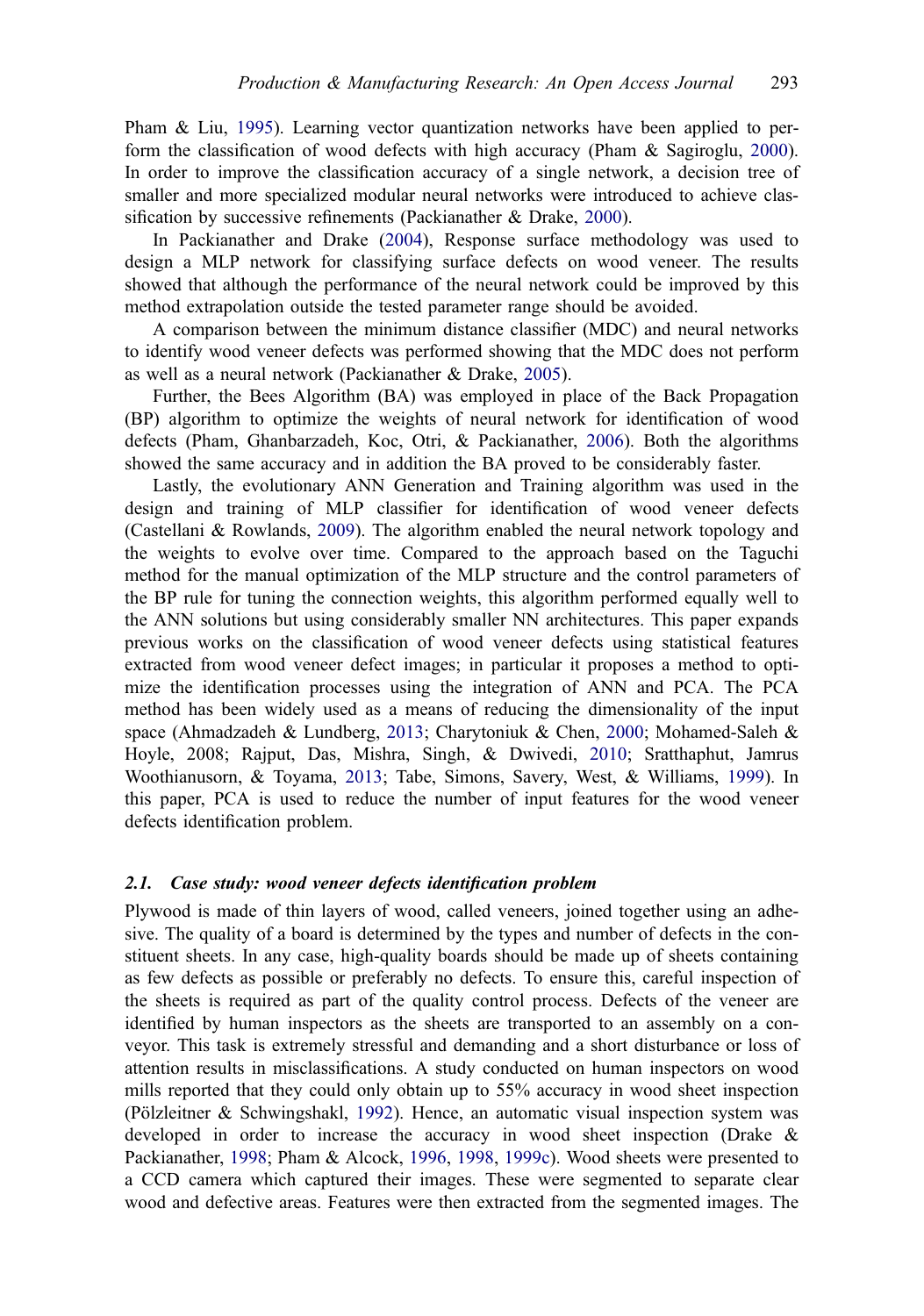Pham & Liu, [1995](#page-19-0)). Learning vector quantization networks have been applied to perform the classification of wood defects with high accuracy (Pham & Sagiroglu, [2000\)](#page-19-0). In order to improve the classification accuracy of a single network, a decision tree of smaller and more specialized modular neural networks were introduced to achieve classification by successive refinements (Packianather & Drake, [2000](#page-19-0)).

In Packianather and Drake ([2004\)](#page-19-0), Response surface methodology was used to design a MLP network for classifying surface defects on wood veneer. The results showed that although the performance of the neural network could be improved by this method extrapolation outside the tested parameter range should be avoided.

A comparison between the minimum distance classifier (MDC) and neural networks to identify wood veneer defects was performed showing that the MDC does not perform as well as a neural network (Packianather & Drake, [2005\)](#page-19-0).

Further, the Bees Algorithm (BA) was employed in place of the Back Propagation (BP) algorithm to optimize the weights of neural network for identification of wood defects (Pham, Ghanbarzadeh, Koc, Otri, & Packianather, [2006](#page-19-0)). Both the algorithms showed the same accuracy and in addition the BA proved to be considerably faster.

Lastly, the evolutionary ANN Generation and Training algorithm was used in the design and training of MLP classifier for identification of wood veneer defects (Castellani & Rowlands, [2009\)](#page-18-0). The algorithm enabled the neural network topology and the weights to evolve over time. Compared to the approach based on the Taguchi method for the manual optimization of the MLP structure and the control parameters of the BP rule for tuning the connection weights, this algorithm performed equally well to the ANN solutions but using considerably smaller NN architectures. This paper expands previous works on the classification of wood veneer defects using statistical features extracted from wood veneer defect images; in particular it proposes a method to optimize the identification processes using the integration of ANN and PCA. The PCA method has been widely used as a means of reducing the dimensionality of the input space (Ahmadzadeh & Lundberg, [2013;](#page-18-0) Charytoniuk & Chen, [2000;](#page-18-0) Mohamed-Saleh & Hoyle, 2008; Rajput, Das, Mishra, Singh, & Dwivedi, [2010;](#page-19-0) Sratthaphut, Jamrus Woothianusorn, & Toyama, [2013](#page-19-0); Tabe, Simons, Savery, West, & Williams, [1999](#page-19-0)). In this paper, PCA is used to reduce the number of input features for the wood veneer defects identification problem.

#### 2.1. Case study: wood veneer defects identification problem

Plywood is made of thin layers of wood, called veneers, joined together using an adhesive. The quality of a board is determined by the types and number of defects in the constituent sheets. In any case, high-quality boards should be made up of sheets containing as few defects as possible or preferably no defects. To ensure this, careful inspection of the sheets is required as part of the quality control process. Defects of the veneer are identified by human inspectors as the sheets are transported to an assembly on a conveyor. This task is extremely stressful and demanding and a short disturbance or loss of attention results in misclassifications. A study conducted on human inspectors on wood mills reported that they could only obtain up to 55% accuracy in wood sheet inspection (Pölzleitner & Schwingshakl, [1992](#page-19-0)). Hence, an automatic visual inspection system was developed in order to increase the accuracy in wood sheet inspection (Drake & Packianather, [1998;](#page-18-0) Pham & Alcock, [1996,](#page-19-0) [1998,](#page-19-0) [1999c\)](#page-19-0). Wood sheets were presented to a CCD camera which captured their images. These were segmented to separate clear wood and defective areas. Features were then extracted from the segmented images. The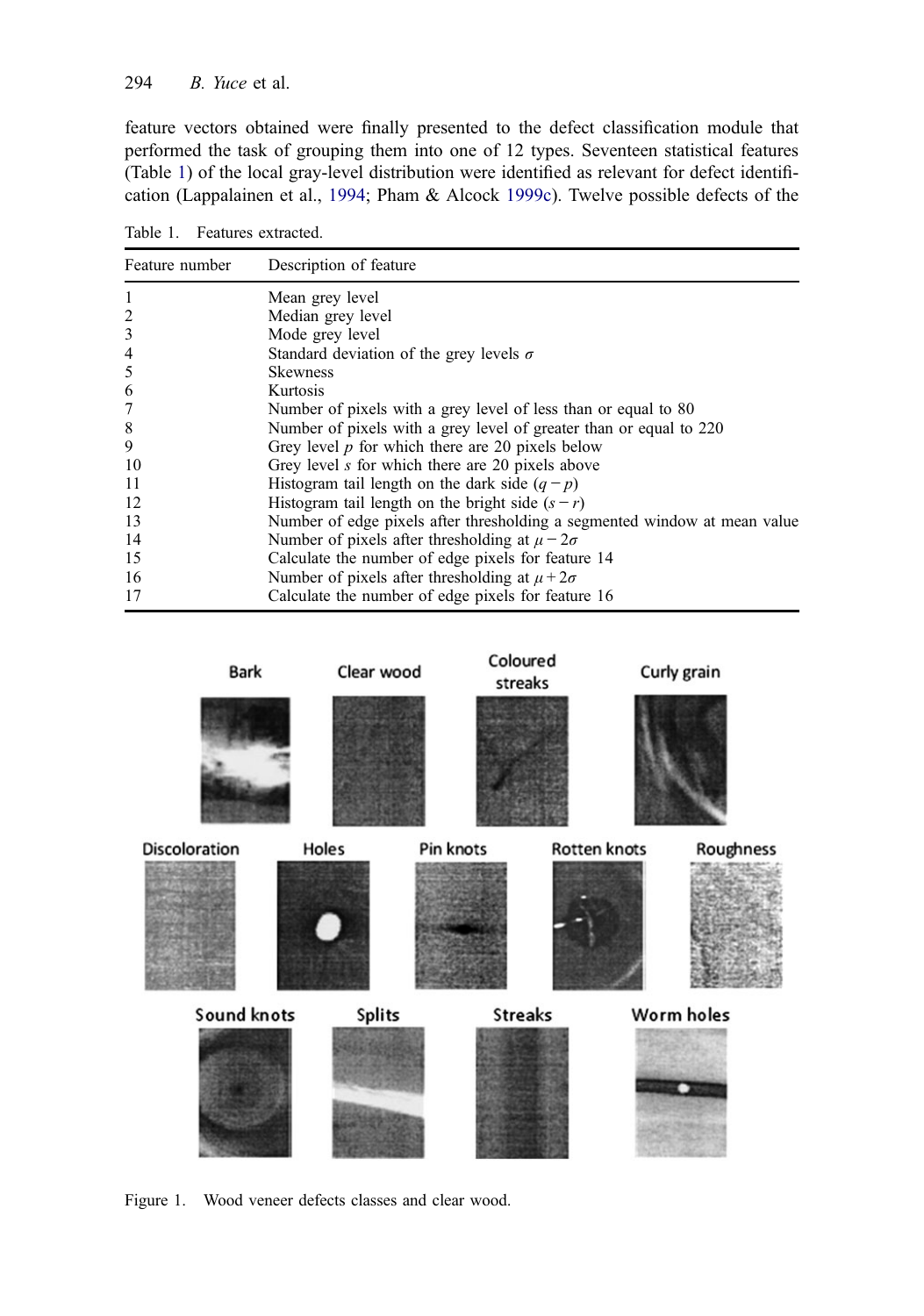#### <span id="page-5-0"></span>294  $B.$  Yuce et al.

feature vectors obtained were finally presented to the defect classification module that performed the task of grouping them into one of 12 types. Seventeen statistical features (Table 1) of the local gray-level distribution were identified as relevant for defect identification (Lappalainen et al., [1994](#page-19-0); Pham & Alcock [1999c\)](#page-19-0). Twelve possible defects of the

Table 1. Features extracted.

| Feature number | Description of feature                                                    |
|----------------|---------------------------------------------------------------------------|
| 1              | Mean grey level                                                           |
| 2              | Median grey level                                                         |
| 3              | Mode grey level                                                           |
| 4              | Standard deviation of the grey levels $\sigma$                            |
| 5              | <b>Skewness</b>                                                           |
| 6              | Kurtosis                                                                  |
| 7              | Number of pixels with a grey level of less than or equal to 80            |
| 8              | Number of pixels with a grey level of greater than or equal to 220        |
| 9              | Grey level $p$ for which there are 20 pixels below                        |
| 10             | Grey level s for which there are 20 pixels above                          |
| 11             | Histogram tail length on the dark side $(q - p)$                          |
| 12             | Histogram tail length on the bright side $(s - r)$                        |
| 13             | Number of edge pixels after thresholding a segmented window at mean value |
| 14             | Number of pixels after thresholding at $\mu - 2\sigma$                    |
| 15             | Calculate the number of edge pixels for feature 14                        |
| 16             | Number of pixels after thresholding at $\mu + 2\sigma$                    |
| 17             | Calculate the number of edge pixels for feature 16                        |



Figure 1. Wood veneer defects classes and clear wood.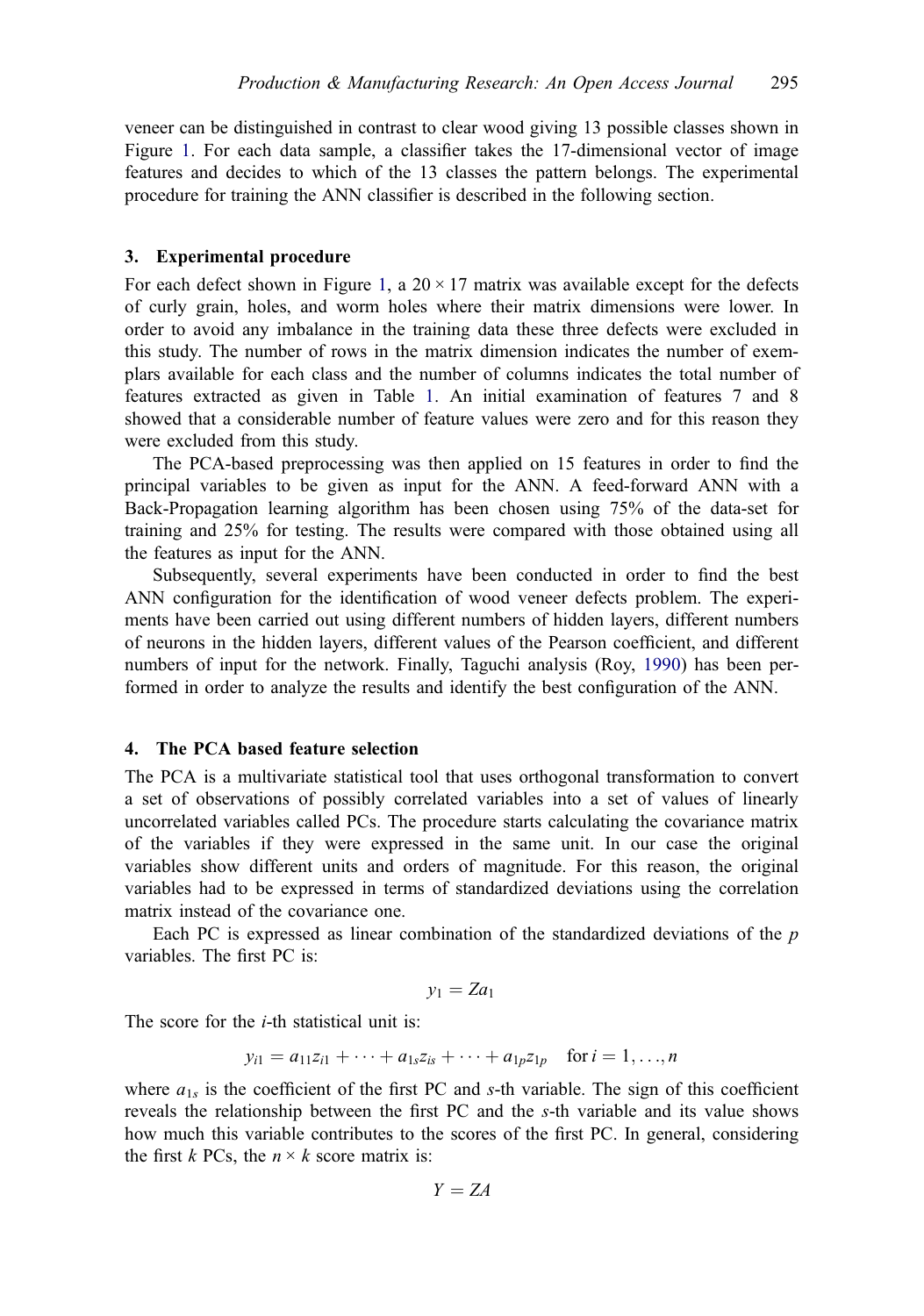<span id="page-6-0"></span>veneer can be distinguished in contrast to clear wood giving 13 possible classes shown in Figure [1.](#page-5-0) For each data sample, a classifier takes the 17-dimensional vector of image features and decides to which of the 13 classes the pattern belongs. The experimental procedure for training the ANN classifier is described in the following section.

#### 3. Experimental procedure

For each defect shown in Figure [1,](#page-5-0) a  $20 \times 17$  matrix was available except for the defects of curly grain, holes, and worm holes where their matrix dimensions were lower. In order to avoid any imbalance in the training data these three defects were excluded in this study. The number of rows in the matrix dimension indicates the number of exemplars available for each class and the number of columns indicates the total number of features extracted as given in Table [1](#page-5-0). An initial examination of features 7 and 8 showed that a considerable number of feature values were zero and for this reason they were excluded from this study.

The PCA-based preprocessing was then applied on 15 features in order to find the principal variables to be given as input for the ANN. A feed-forward ANN with a Back-Propagation learning algorithm has been chosen using 75% of the data-set for training and 25% for testing. The results were compared with those obtained using all the features as input for the ANN.

Subsequently, several experiments have been conducted in order to find the best ANN configuration for the identification of wood veneer defects problem. The experiments have been carried out using different numbers of hidden layers, different numbers of neurons in the hidden layers, different values of the Pearson coefficient, and different numbers of input for the network. Finally, Taguchi analysis (Roy, [1990\)](#page-19-0) has been performed in order to analyze the results and identify the best configuration of the ANN.

#### 4. The PCA based feature selection

The PCA is a multivariate statistical tool that uses orthogonal transformation to convert a set of observations of possibly correlated variables into a set of values of linearly uncorrelated variables called PCs. The procedure starts calculating the covariance matrix of the variables if they were expressed in the same unit. In our case the original variables show different units and orders of magnitude. For this reason, the original variables had to be expressed in terms of standardized deviations using the correlation matrix instead of the covariance one.

Each PC is expressed as linear combination of the standardized deviations of the  $p$ variables. The first PC is:

$$
y_1 = Za_1
$$

The score for the  $i$ -th statistical unit is:

$$
y_{i1} = a_{11}z_{i1} + \cdots + a_{1s}z_{is} + \cdots + a_{1p}z_{1p}
$$
 for  $i = 1, ..., n$ 

where  $a_{1s}$  is the coefficient of the first PC and s-th variable. The sign of this coefficient reveals the relationship between the first PC and the s-th variable and its value shows how much this variable contributes to the scores of the first PC. In general, considering the first k PCs, the  $n \times k$  score matrix is:

$$
Y = ZA
$$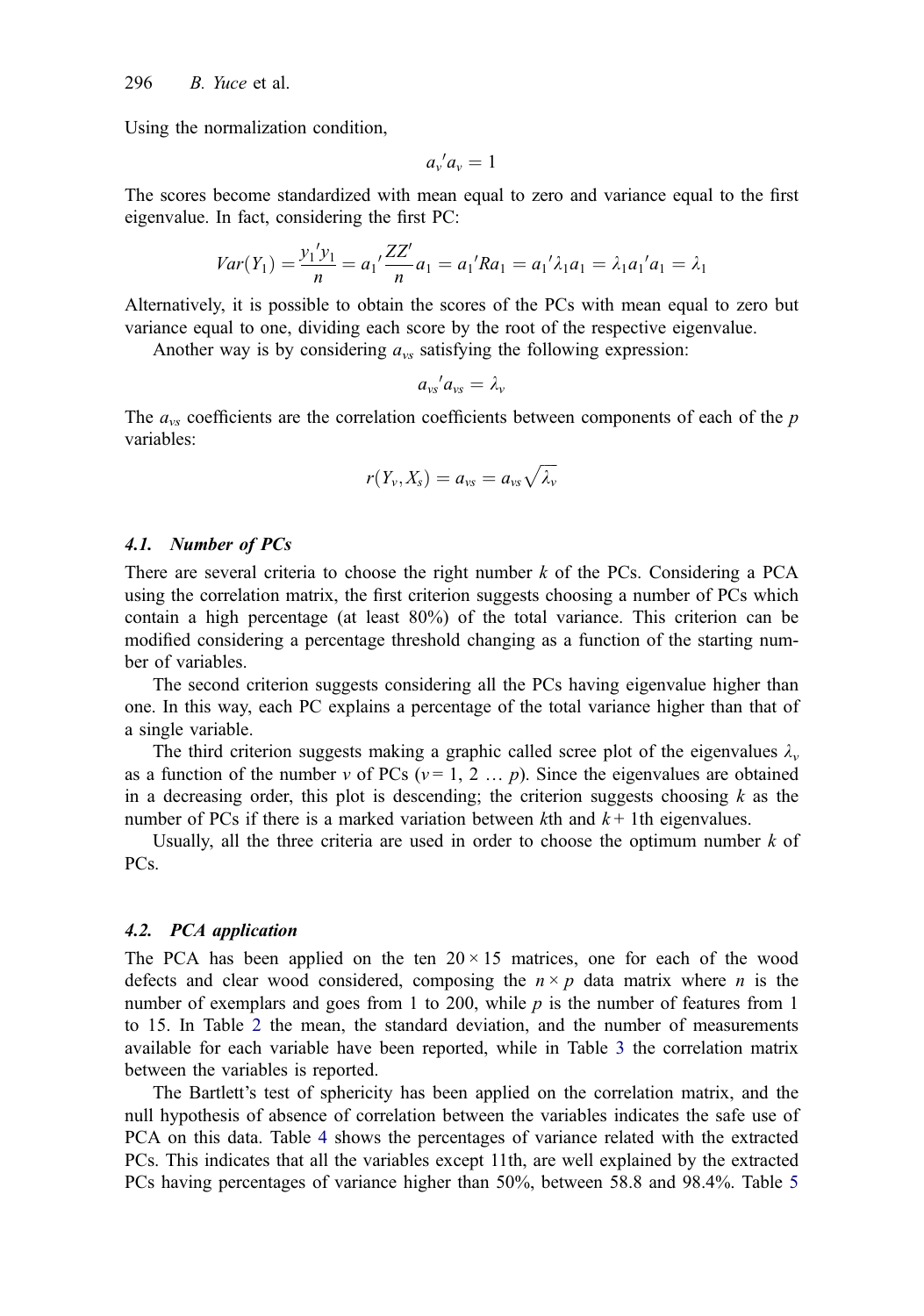Using the normalization condition,

$$
a_{\nu}^{\ \prime}a_{\nu}=1
$$

The scores become standardized with mean equal to zero and variance equal to the first eigenvalue. In fact, considering the first PC:

$$
Var(Y_1) = \frac{y_1'y_1}{n} = a_1' \frac{ZZ'}{n} a_1 = a_1'Ra_1 = a_1'\lambda_1a_1 = \lambda_1a_1'a_1 = \lambda_1
$$

Alternatively, it is possible to obtain the scores of the PCs with mean equal to zero but variance equal to one, dividing each score by the root of the respective eigenvalue.

Another way is by considering  $a_{\nu s}$  satisfying the following expression:

$$
a_{vs}{}'a_{vs}=\lambda_v
$$

The  $a_{\nu s}$  coefficients are the correlation coefficients between components of each of the p variables:

$$
r(Y_v,X_s)=a_{vs}=a_{vs}\sqrt{\lambda_v}
$$

#### 4.1. Number of PCs

There are several criteria to choose the right number  $k$  of the PCs. Considering a PCA using the correlation matrix, the first criterion suggests choosing a number of PCs which contain a high percentage (at least 80%) of the total variance. This criterion can be modified considering a percentage threshold changing as a function of the starting number of variables.

The second criterion suggests considering all the PCs having eigenvalue higher than one. In this way, each PC explains a percentage of the total variance higher than that of a single variable.

The third criterion suggests making a graphic called scree plot of the eigenvalues  $\lambda_{\nu}$ as a function of the number v of PCs ( $v = 1, 2, \ldots, p$ ). Since the eigenvalues are obtained in a decreasing order, this plot is descending; the criterion suggests choosing  $k$  as the number of PCs if there is a marked variation between kth and  $k+1$ th eigenvalues.

Usually, all the three criteria are used in order to choose the optimum number  $k$  of PCs.

#### 4.2. PCA application

The PCA has been applied on the ten  $20 \times 15$  matrices, one for each of the wood defects and clear wood considered, composing the  $n \times p$  data matrix where n is the number of exemplars and goes from 1 to 200, while  $p$  is the number of features from 1 to 15. In Table [2](#page-8-0) the mean, the standard deviation, and the number of measurements available for each variable have been reported, while in Table [3](#page-9-0) the correlation matrix between the variables is reported.

The Bartlett's test of sphericity has been applied on the correlation matrix, and the null hypothesis of absence of correlation between the variables indicates the safe use of PCA on this data. Table [4](#page-10-0) shows the percentages of variance related with the extracted PCs. This indicates that all the variables except 11th, are well explained by the extracted PCs having percentages of variance higher than 50%, between 58.8 and 98.4%. Table [5](#page-10-0)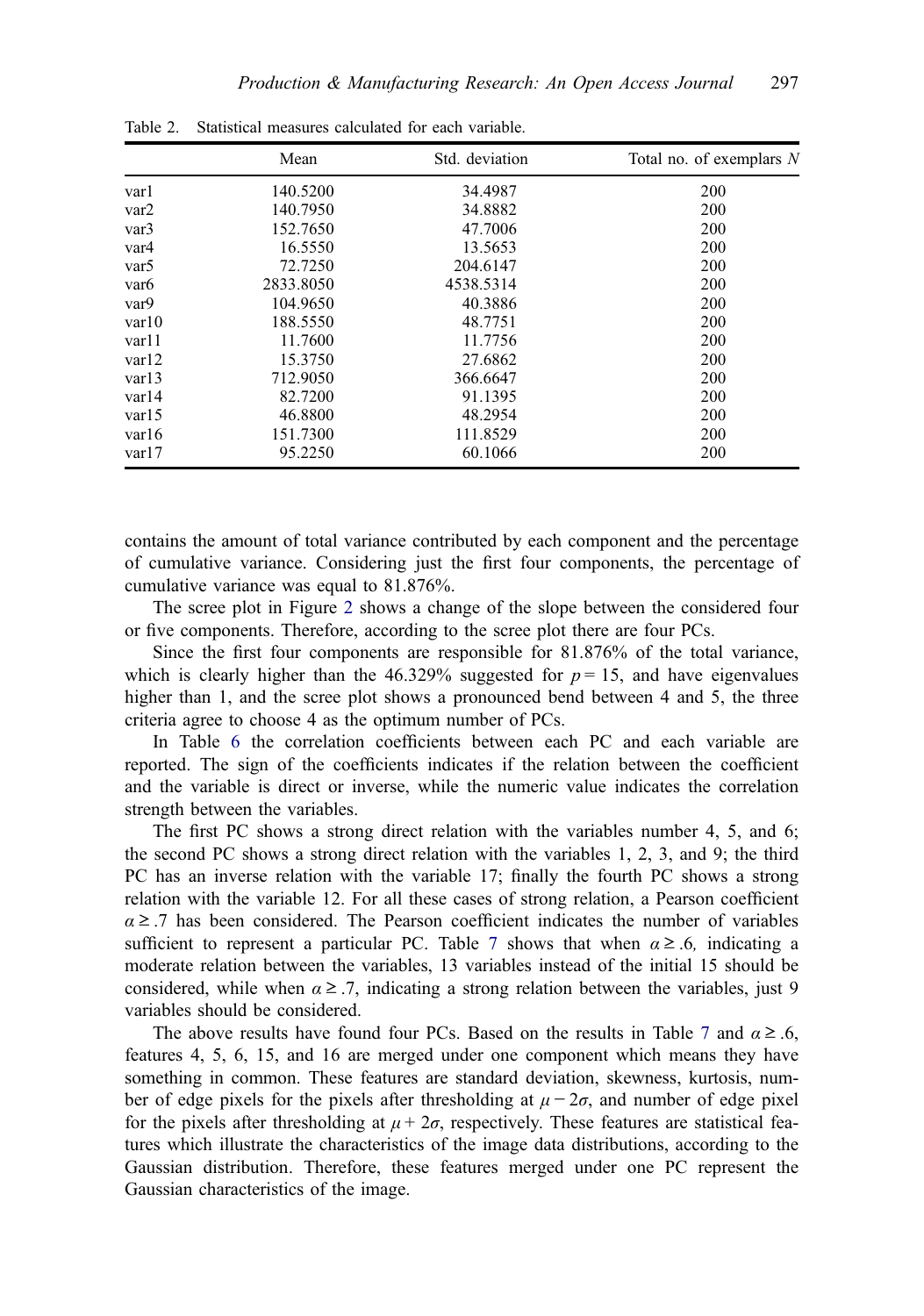|                  | Mean      | Std. deviation | Total no. of exemplars N |
|------------------|-----------|----------------|--------------------------|
| varl             | 140.5200  | 34.4987        | 200                      |
| var2             | 140.7950  | 34.8882        | 200                      |
| var <sub>3</sub> | 152.7650  | 47.7006        | 200                      |
| var4             | 16.5550   | 13.5653        | 200                      |
| var <sub>5</sub> | 72.7250   | 204.6147       | 200                      |
| var <sub>6</sub> | 2833.8050 | 4538.5314      | 200                      |
| var9             | 104.9650  | 40.3886        | 200                      |
| var10            | 188.5550  | 48.7751        | 200                      |
| var11            | 11.7600   | 11.7756        | 200                      |
| var12            | 15.3750   | 27.6862        | 200                      |
| var13            | 712.9050  | 366.6647       | 200                      |
| var14            | 82.7200   | 91.1395        | 200                      |
| var15            | 46.8800   | 48.2954        | 200                      |
| var16            | 151.7300  | 111.8529       | 200                      |
| var17            | 95.2250   | 60.1066        | 200                      |

<span id="page-8-0"></span>Table 2. Statistical measures calculated for each variable.

contains the amount of total variance contributed by each component and the percentage of cumulative variance. Considering just the first four components, the percentage of cumulative variance was equal to 81.876%.

The scree plot in Figure [2](#page-11-0) shows a change of the slope between the considered four or five components. Therefore, according to the scree plot there are four PCs.

Since the first four components are responsible for 81.876% of the total variance, which is clearly higher than the 46.329% suggested for  $p = 15$ , and have eigenvalues higher than 1, and the scree plot shows a pronounced bend between 4 and 5, the three criteria agree to choose 4 as the optimum number of PCs.

In Table [6](#page-11-0) the correlation coefficients between each PC and each variable are reported. The sign of the coefficients indicates if the relation between the coefficient and the variable is direct or inverse, while the numeric value indicates the correlation strength between the variables.

The first PC shows a strong direct relation with the variables number 4, 5, and 6; the second PC shows a strong direct relation with the variables 1, 2, 3, and 9; the third PC has an inverse relation with the variable 17; finally the fourth PC shows a strong relation with the variable 12. For all these cases of strong relation, a Pearson coefficient  $\alpha \geq 0.7$  has been considered. The Pearson coefficient indicates the number of variables sufficient to represent a particular PC. Table [7](#page-11-0) shows that when  $\alpha \geq .6$ , indicating a moderate relation between the variables, 13 variables instead of the initial 15 should be considered, while when  $\alpha \geq 7$ , indicating a strong relation between the variables, just 9 variables should be considered.

The above results have found four PCs. Based on the results in Table [7](#page-11-0) and  $\alpha \geq 0.6$ , features 4, 5, 6, 15, and 16 are merged under one component which means they have something in common. These features are standard deviation, skewness, kurtosis, number of edge pixels for the pixels after thresholding at  $\mu - 2\sigma$ , and number of edge pixel for the pixels after thresholding at  $\mu + 2\sigma$ , respectively. These features are statistical features which illustrate the characteristics of the image data distributions, according to the Gaussian distribution. Therefore, these features merged under one PC represent the Gaussian characteristics of the image.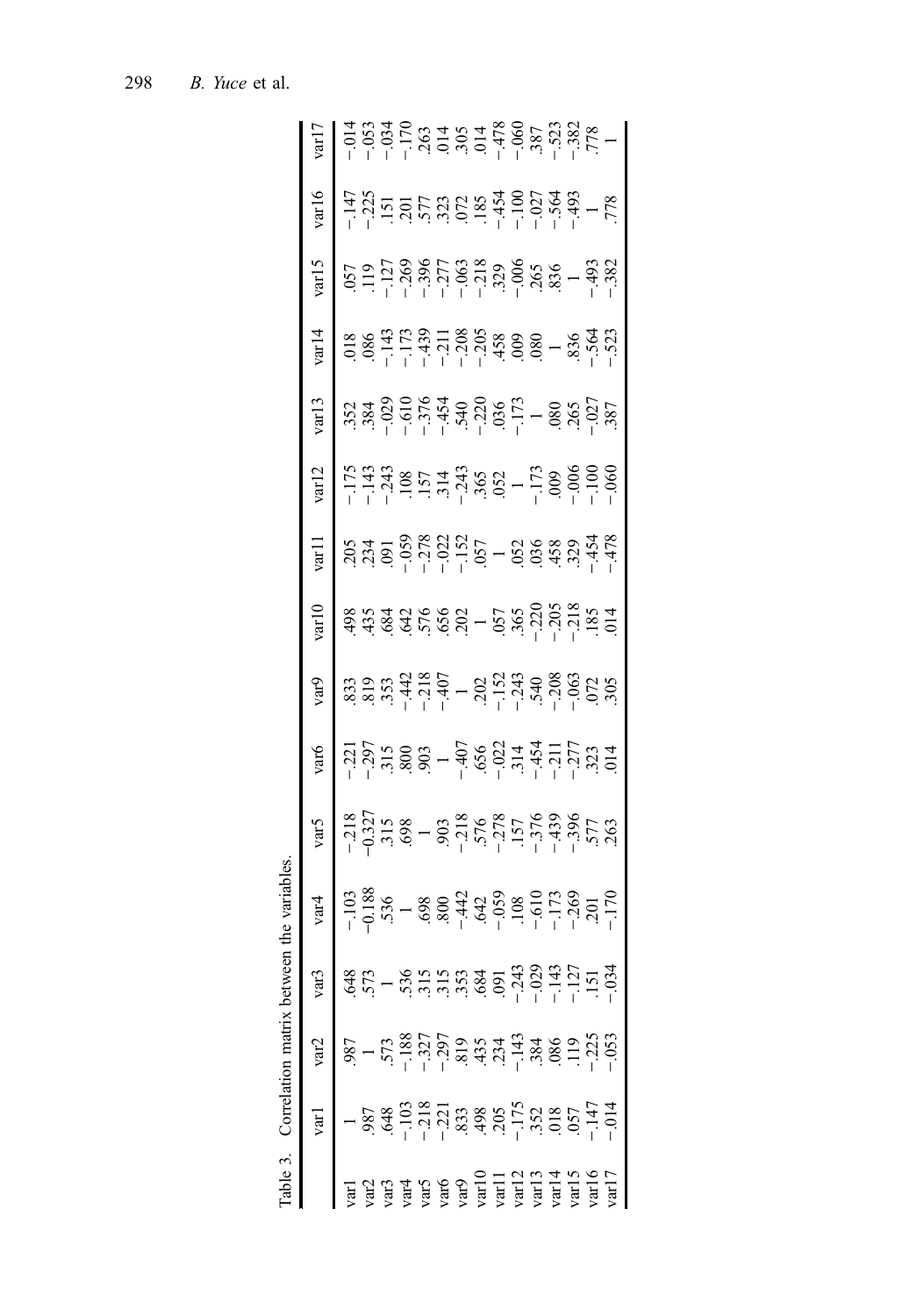<span id="page-9-0"></span>

| $\ensuremath{\mathrm{var}} 16$                                                                                                                                                                                                                                                         |                                                                                                                                                                                                                                                                                                     | $\begin{array}{cccccccccc} 47.4 & 0.00000 & 0.00000 & 0.00000 & 0.00000 & 0.00000 & 0.00000 & 0.00000 & 0.00000 & 0.00000 & 0.00000 & 0.00000 & 0.00000 & 0.00000 & 0.00000 & 0.00000 & 0.00000 & 0.00000 & 0.00000 & 0.00000 & 0.00000 & 0.00000 & 0.00000 & 0.0000$ |  |  |  |  |  |  |
|----------------------------------------------------------------------------------------------------------------------------------------------------------------------------------------------------------------------------------------------------------------------------------------|-----------------------------------------------------------------------------------------------------------------------------------------------------------------------------------------------------------------------------------------------------------------------------------------------------|-----------------------------------------------------------------------------------------------------------------------------------------------------------------------------------------------------------------------------------------------------------------------|--|--|--|--|--|--|
| var15                                                                                                                                                                                                                                                                                  |                                                                                                                                                                                                                                                                                                     |                                                                                                                                                                                                                                                                       |  |  |  |  |  |  |
|                                                                                                                                                                                                                                                                                        |                                                                                                                                                                                                                                                                                                     |                                                                                                                                                                                                                                                                       |  |  |  |  |  |  |
|                                                                                                                                                                                                                                                                                        |                                                                                                                                                                                                                                                                                                     |                                                                                                                                                                                                                                                                       |  |  |  |  |  |  |
|                                                                                                                                                                                                                                                                                        |                                                                                                                                                                                                                                                                                                     |                                                                                                                                                                                                                                                                       |  |  |  |  |  |  |
|                                                                                                                                                                                                                                                                                        | 8 205 - 175 352 .018 .057<br>-143 - 143 - 143 - 143 - 143 - 143<br>-243 - 143 - 127<br>-143 - 127<br>-143 - 127<br>-143 - 127<br>-173 - 127<br>-173 - 127<br>-173 - 139<br>-243 - 157 - 127<br>-243 - 108 - 128<br>-200 - 173 .058 .059<br>-173 1<br>-1                                             |                                                                                                                                                                                                                                                                       |  |  |  |  |  |  |
|                                                                                                                                                                                                                                                                                        | $\begin{array}{l} 48.87 \\ 43.87 \\ 46.87 \\ 47.87 \\ 48.47 \\ 49.67 \\ 40.87 \\ 41.87 \\ 42.87 \\ 43.87 \\ 44.87 \\ 45.87 \\ 46.87 \\ 47.87 \\ 48.87 \\ 49.87 \\ 40.87 \\ 47.87 \\ 49.87 \\ 40.87 \\ 47.87 \\ 48.87 \\ 49.87 \\ 40.87 \\ 47.87 \\ 48.87 \\ 49.87 \\ 49.87 \\ 40.87 \\ 47.87 \\ 48$ |                                                                                                                                                                                                                                                                       |  |  |  |  |  |  |
|                                                                                                                                                                                                                                                                                        |                                                                                                                                                                                                                                                                                                     |                                                                                                                                                                                                                                                                       |  |  |  |  |  |  |
|                                                                                                                                                                                                                                                                                        |                                                                                                                                                                                                                                                                                                     |                                                                                                                                                                                                                                                                       |  |  |  |  |  |  |
|                                                                                                                                                                                                                                                                                        |                                                                                                                                                                                                                                                                                                     |                                                                                                                                                                                                                                                                       |  |  |  |  |  |  |
| vart<br>vart<br>vart<br>$-103$<br>$-218$<br>$-227$<br>$-237$<br>$-337$<br>$-357$<br>$-397$<br>$-315$<br>$-397$<br>$-315$<br>$-397$<br>$-390$<br>$-407$<br>$-610$<br>$-378$<br>$-378$<br>$-656$<br>$-374$<br>$-314$<br>$-454$<br>$-454$<br>$-171$<br>$-376$<br>$-376$<br>$-454$<br>$-1$ |                                                                                                                                                                                                                                                                                                     |                                                                                                                                                                                                                                                                       |  |  |  |  |  |  |
|                                                                                                                                                                                                                                                                                        |                                                                                                                                                                                                                                                                                                     |                                                                                                                                                                                                                                                                       |  |  |  |  |  |  |
|                                                                                                                                                                                                                                                                                        |                                                                                                                                                                                                                                                                                                     |                                                                                                                                                                                                                                                                       |  |  |  |  |  |  |
| var1 var2 var3<br>var1 1.987.648<br>var2 .987.573<br>1.573<br>var4 --103 --188 .573<br>var4 --103 --188 .536<br>var4 --103 --188 .536<br>var10 --297 .315<br>var10 .091<br>var12 --1175 --143 .119 --127<br>var14 .018 .086 --147<br>var14 --222<br>0                                  |                                                                                                                                                                                                                                                                                                     |                                                                                                                                                                                                                                                                       |  |  |  |  |  |  |
|                                                                                                                                                                                                                                                                                        |                                                                                                                                                                                                                                                                                                     |                                                                                                                                                                                                                                                                       |  |  |  |  |  |  |

Table 3. Correlation matrix between the variables. Table 3. Correlation matrix between the variables.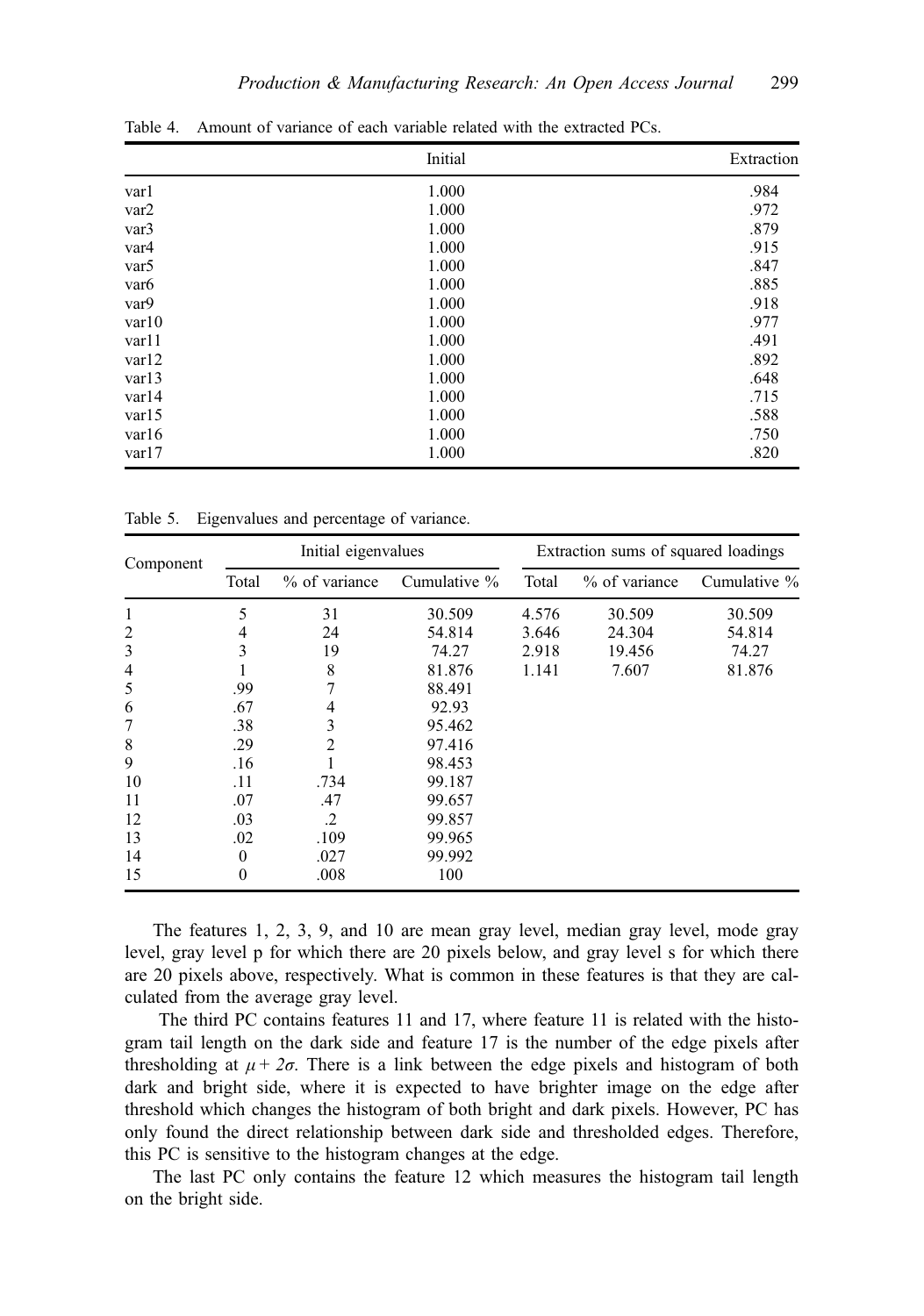|                  | Initial | Extraction |
|------------------|---------|------------|
| varl             | 1.000   | .984       |
| var2             | 1.000   | .972       |
| var <sub>3</sub> | 1.000   | .879       |
| var4             | 1.000   | .915       |
| var <sub>5</sub> | 1.000   | .847       |
| var <sub>6</sub> | 1.000   | .885       |
| var9             | 1.000   | .918       |
| var10            | 1.000   | .977       |
| var11            | 1.000   | .491       |
| var12            | 1.000   | .892       |
| var13            | 1.000   | .648       |
| var14            | 1.000   | .715       |
| var15            | 1.000   | .588       |
| var16            | 1.000   | .750       |
| var17            | 1.000   | .820       |

<span id="page-10-0"></span>Table 4. Amount of variance of each variable related with the extracted PCs.

Table 5. Eigenvalues and percentage of variance.

| Component |                  | Initial eigenvalues |              |       | Extraction sums of squared loadings |              |
|-----------|------------------|---------------------|--------------|-------|-------------------------------------|--------------|
|           | Total            | % of variance       | Cumulative % | Total | $%$ of variance                     | Cumulative % |
| 1         | 5                | 31                  | 30.509       | 4.576 | 30.509                              | 30.509       |
| 2         | 4                | 24                  | 54.814       | 3.646 | 24.304                              | 54.814       |
| 3         | 3                | 19                  | 74.27        | 2.918 | 19.456                              | 74.27        |
| 4         |                  | 8                   | 81.876       | 1.141 | 7.607                               | 81.876       |
| 5         | .99              |                     | 88.491       |       |                                     |              |
| 6         | .67              | 4                   | 92.93        |       |                                     |              |
| 7         | .38              | 3                   | 95.462       |       |                                     |              |
| 8         | .29              | 2                   | 97.416       |       |                                     |              |
| 9         | .16              |                     | 98.453       |       |                                     |              |
| 10        | .11              | .734                | 99.187       |       |                                     |              |
| 11        | .07              | .47                 | 99.657       |       |                                     |              |
| 12        | .03              | $\cdot$             | 99.857       |       |                                     |              |
| 13        | .02              | .109                | 99.965       |       |                                     |              |
| 14        | $\boldsymbol{0}$ | .027                | 99.992       |       |                                     |              |
| 15        | 0                | .008                | 100          |       |                                     |              |

The features 1, 2, 3, 9, and 10 are mean gray level, median gray level, mode gray level, gray level p for which there are 20 pixels below, and gray level s for which there are 20 pixels above, respectively. What is common in these features is that they are calculated from the average gray level.

The third PC contains features 11 and 17, where feature 11 is related with the histogram tail length on the dark side and feature 17 is the number of the edge pixels after thresholding at  $\mu + 2\sigma$ . There is a link between the edge pixels and histogram of both dark and bright side, where it is expected to have brighter image on the edge after threshold which changes the histogram of both bright and dark pixels. However, PC has only found the direct relationship between dark side and thresholded edges. Therefore, this PC is sensitive to the histogram changes at the edge.

The last PC only contains the feature 12 which measures the histogram tail length on the bright side.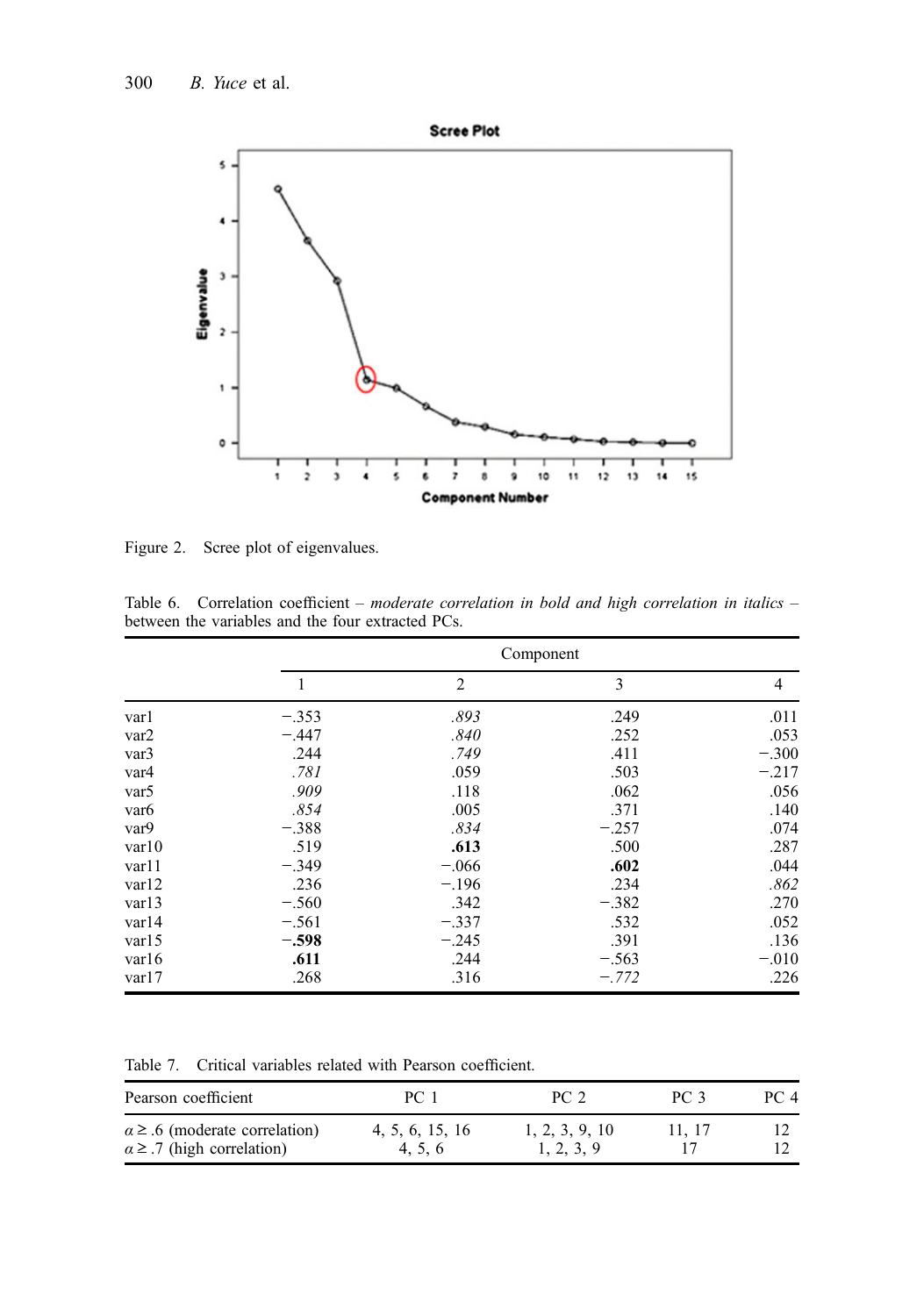<span id="page-11-0"></span>

Figure 2. Scree plot of eigenvalues.

|                  |         |                | Component |                |
|------------------|---------|----------------|-----------|----------------|
|                  |         | $\overline{2}$ | 3         | $\overline{4}$ |
| varl             | $-.353$ | .893           | .249      | .011           |
| var2             | $-.447$ | .840           | .252      | .053           |
| var3             | .244    | .749           | .411      | $-.300$        |
| var4             | .781    | .059           | .503      | $-.217$        |
| var <sub>5</sub> | .909    | .118           | .062      | .056           |
| var <sub>6</sub> | .854    | .005           | .371      | .140           |
| var9             | $-.388$ | .834           | $-.257$   | .074           |
| var10            | .519    | .613           | .500      | .287           |
| var11            | $-.349$ | $-.066$        | .602      | .044           |
| var12            | .236    | $-.196$        | .234      | .862           |
| var13            | $-.560$ | .342           | $-.382$   | .270           |
| var14            | $-.561$ | $-.337$        | .532      | .052           |
| var15            | $-.598$ | $-.245$        | .391      | .136           |
| var16            | .611    | .244           | $-.563$   | $-.010$        |
| var17            | .268    | .316           | $-.772$   | .226           |

Table 6. Correlation coefficient – moderate correlation in bold and high correlation in italics – between the variables and the four extracted PCs.

Table 7. Critical variables related with Pearson coefficient.

| Pearson coefficient                                                             | PC 1                     | PC 2                         | PC <sub>3</sub> | PC 4 |
|---------------------------------------------------------------------------------|--------------------------|------------------------------|-----------------|------|
| $\alpha \geq .6$ (moderate correlation)<br>$\alpha \geq 0.7$ (high correlation) | 4, 5, 6, 15, 16<br>4.5.6 | 1, 2, 3, 9, 10<br>1, 2, 3, 9 | 11.17           |      |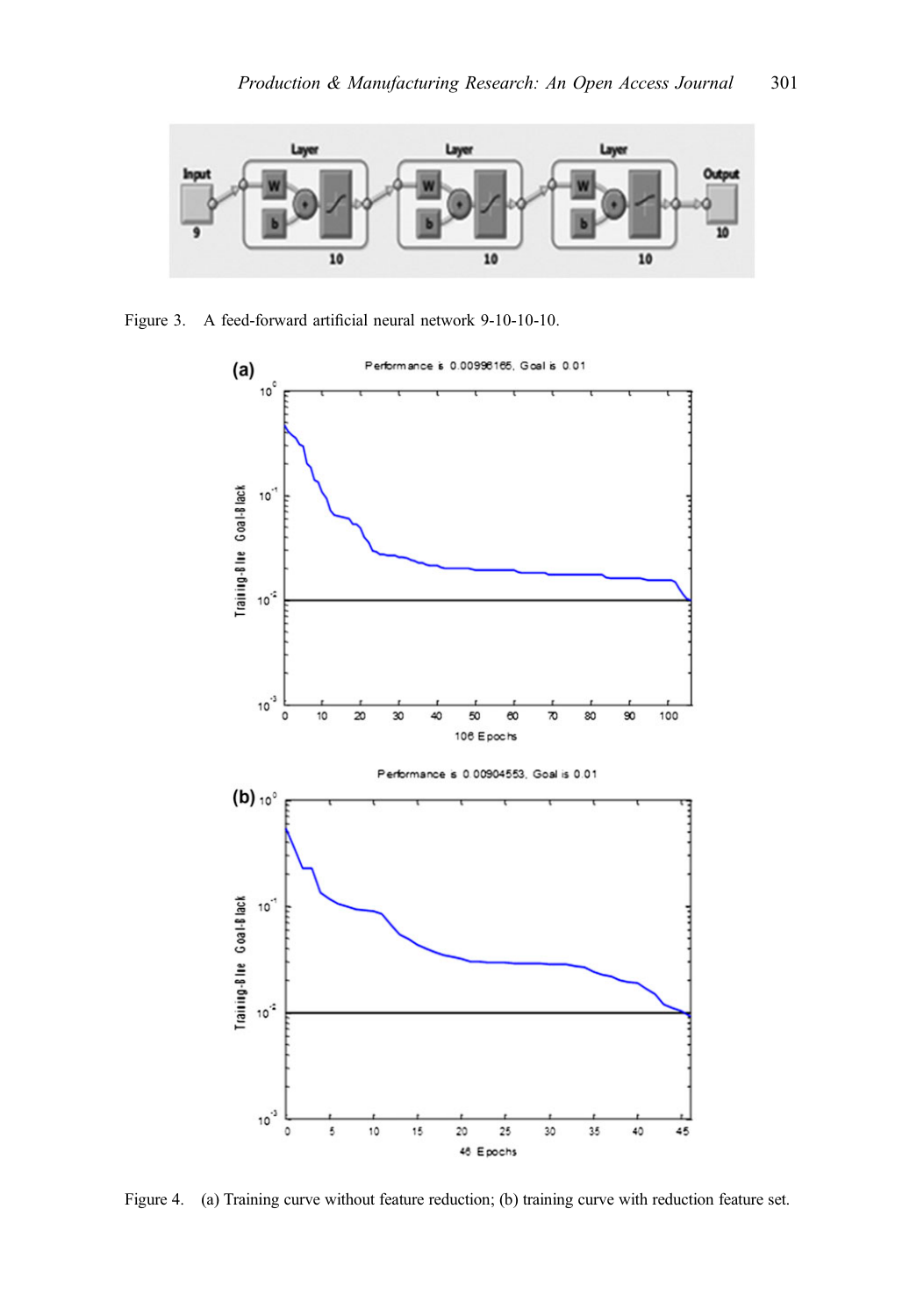<span id="page-12-0"></span>

Figure 3. A feed-forward artificial neural network 9-10-10-10.



Figure 4. (a) Training curve without feature reduction; (b) training curve with reduction feature set.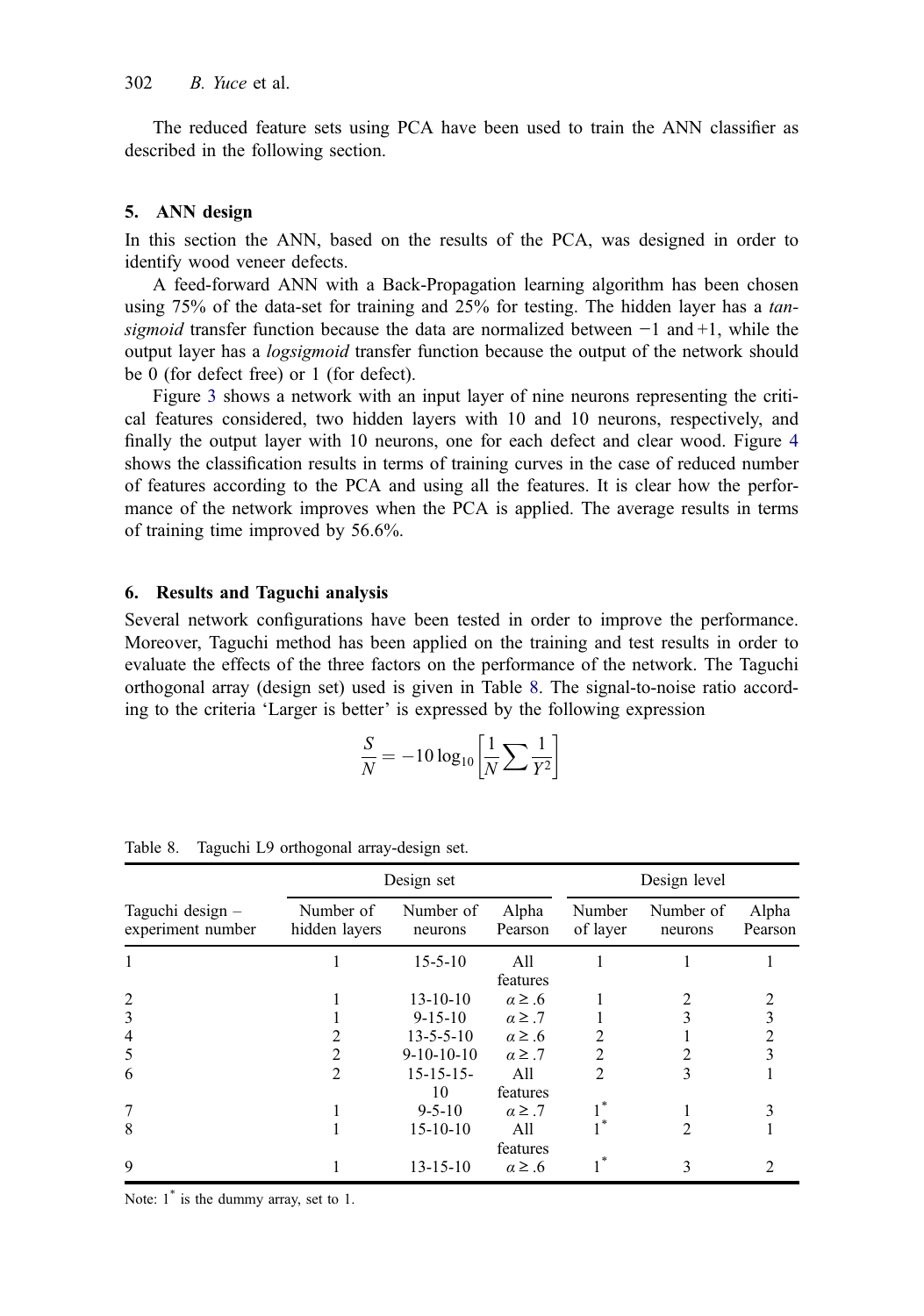<span id="page-13-0"></span>The reduced feature sets using PCA have been used to train the ANN classifier as described in the following section.

#### 5. ANN design

In this section the ANN, based on the results of the PCA, was designed in order to identify wood veneer defects.

A feed-forward ANN with a Back-Propagation learning algorithm has been chosen using 75% of the data-set for training and 25% for testing. The hidden layer has a tansigmoid transfer function because the data are normalized between  $-1$  and  $+1$ , while the output layer has a logsigmoid transfer function because the output of the network should be 0 (for defect free) or 1 (for defect).

Figure [3](#page-12-0) shows a network with an input layer of nine neurons representing the critical features considered, two hidden layers with 10 and 10 neurons, respectively, and finally the output layer with 10 neurons, one for each defect and clear wood. Figure [4](#page-12-0) shows the classification results in terms of training curves in the case of reduced number of features according to the PCA and using all the features. It is clear how the performance of the network improves when the PCA is applied. The average results in terms of training time improved by 56.6%.

#### 6. Results and Taguchi analysis

Several network configurations have been tested in order to improve the performance. Moreover, Taguchi method has been applied on the training and test results in order to evaluate the effects of the three factors on the performance of the network. The Taguchi orthogonal array (design set) used is given in Table 8. The signal-to-noise ratio according to the criteria 'Larger is better' is expressed by the following expression

$$
\frac{S}{N} = -10 \log_{10} \left[ \frac{1}{N} \sum \frac{1}{Y^2} \right]
$$

|                                       |                            | Design set           |                  |                    | Design level         |                  |
|---------------------------------------|----------------------------|----------------------|------------------|--------------------|----------------------|------------------|
| Taguchi design –<br>experiment number | Number of<br>hidden layers | Number of<br>neurons | Alpha<br>Pearson | Number<br>of layer | Number of<br>neurons | Alpha<br>Pearson |
|                                       |                            | $15 - 5 - 10$        | All<br>features  |                    |                      |                  |
| $\overline{2}$                        |                            | $13 - 10 - 10$       | $\alpha \geq .6$ |                    | 2                    |                  |
| 3                                     |                            | $9 - 15 - 10$        | $\alpha \geq .7$ |                    | 3                    |                  |
| 4                                     |                            | $13 - 5 - 5 - 10$    | $\alpha \geq .6$ | $\mathfrak{D}$     |                      |                  |
| 5                                     | 2                          | $9-10-10-10$         | $\alpha \geq .7$ | 2                  |                      |                  |
| 6                                     | $\mathfrak{D}$             | $15 - 15 - 15$<br>10 | All<br>features  | $\mathfrak{D}$     | 3                    |                  |
| 7                                     |                            | $9 - 5 - 10$         | $\alpha \geq .7$ |                    |                      |                  |
| 8                                     |                            | $15-10-10$           | A11<br>features  |                    | 2                    |                  |
| 9                                     |                            | $13 - 15 - 10$       | $\alpha \geq .6$ |                    | 3                    |                  |

Table 8. Taguchi L9 orthogonal array-design set.

Note:  $1^*$  is the dummy array, set to 1.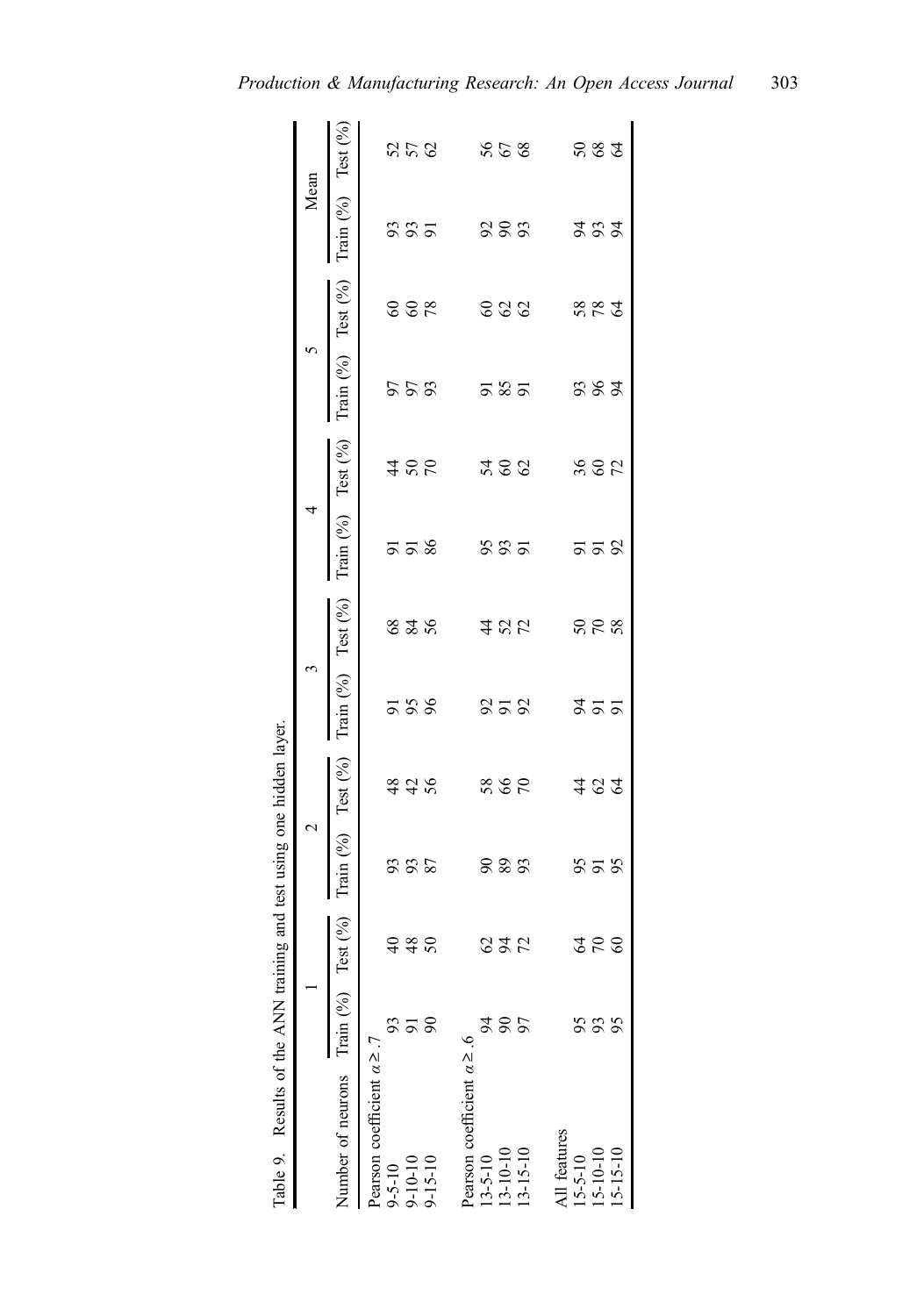<span id="page-14-0"></span>

| Table 9. Results of the ANN training and test using one hidden layer. |          |                     |                        |      |                                                    |     |                                      |     |                                                    |     |                          |            |
|-----------------------------------------------------------------------|----------|---------------------|------------------------|------|----------------------------------------------------|-----|--------------------------------------|-----|----------------------------------------------------|-----|--------------------------|------------|
|                                                                       |          |                     | $\mathbf{\Omega}$      |      | 3                                                  |     | 4                                    |     | 5                                                  |     | Mean                     |            |
| Number of neurons Train (%)                                           |          | est(%)              | Train $(%)$ Test $(%)$ |      | Train $(%$ <sub>0</sub> ) Test $(%$ <sub>0</sub> ) |     | Train $(^{9}_{6})$ Test $(^{9}_{6})$ |     | Train $(%$ <sub>0</sub> ) Test $(%$ <sub>0</sub> ) |     | Train $(\%)$ Test $(\%)$ |            |
| Pearson coefficient $\alpha \geq .7$                                  |          |                     |                        |      |                                                    |     |                                      |     |                                                    |     |                          |            |
| $9 - 5 - 10$                                                          |          |                     |                        |      |                                                    |     |                                      |     |                                                    |     |                          |            |
| $9 - 10 - 10$                                                         |          | <u>ទី ៖</u><br>១ និ | <b>335</b>             |      | 558                                                | 825 | ವ ವ ಜ                                | 486 | 553                                                | 888 | \$35                     | <b>222</b> |
| $9 - 15 - 10$                                                         |          |                     |                        |      |                                                    |     |                                      |     |                                                    |     |                          |            |
|                                                                       |          |                     |                        |      |                                                    |     |                                      |     |                                                    |     |                          |            |
| Pearson coefficient $\alpha \ge 0.6$                                  |          |                     |                        |      |                                                    |     |                                      |     |                                                    |     |                          |            |
| $13 - 5 - 10$                                                         |          |                     |                        |      |                                                    |     |                                      |     |                                                    |     |                          |            |
| $13 - 10 - 10$                                                        | $\infty$ | 225                 | 825                    | 5807 | 858                                                | 422 | \$85                                 | 288 | 585                                                | 888 | 888                      | 568        |
| $13 - 15 - 10$                                                        |          |                     |                        |      |                                                    |     |                                      |     |                                                    |     |                          |            |
| All features                                                          |          |                     |                        |      |                                                    |     |                                      |     |                                                    |     |                          |            |
| $15 - 5 - 10$                                                         | 95       |                     |                        |      |                                                    |     |                                      |     |                                                    |     |                          |            |
| $15 - 10 - 10$                                                        | 93       | 258                 | \$35                   | 282  | ままま                                                | 588 | 558                                  | 882 | 383                                                | 587 | <b>z</b> g z             | 884        |
| $15 - 15 - 10$                                                        |          |                     |                        |      |                                                    |     |                                      |     |                                                    |     |                          |            |

| us val.                                                                                                             |
|---------------------------------------------------------------------------------------------------------------------|
| المستشفى المستشفى المستشفى المستشفى المستشفى المستشفى المستشفى المستشفى المستشفى المستشفى المستشفى المستشفى ال<br>į |
|                                                                                                                     |
| teet neine one<br>J<br>$\frac{1}{2}$                                                                                |
| ì                                                                                                                   |
| ļ                                                                                                                   |
| numo and<br>Q                                                                                                       |
| ֖֖֖֖֧ׅ֧֖֧ׅ֖֧֖֧֖֧֚֚֚֚֚֚֚֚֚֚֚֚֚֚֚֚֚֚֚֚֚֚֚֚֚֚֚֚֚֚֚֚֬֝֝֬֝֬֝֬֝֬֝֬                                                        |
| į<br>- 11<br>l                                                                                                      |
|                                                                                                                     |
| i                                                                                                                   |
|                                                                                                                     |
| ï<br>I                                                                                                              |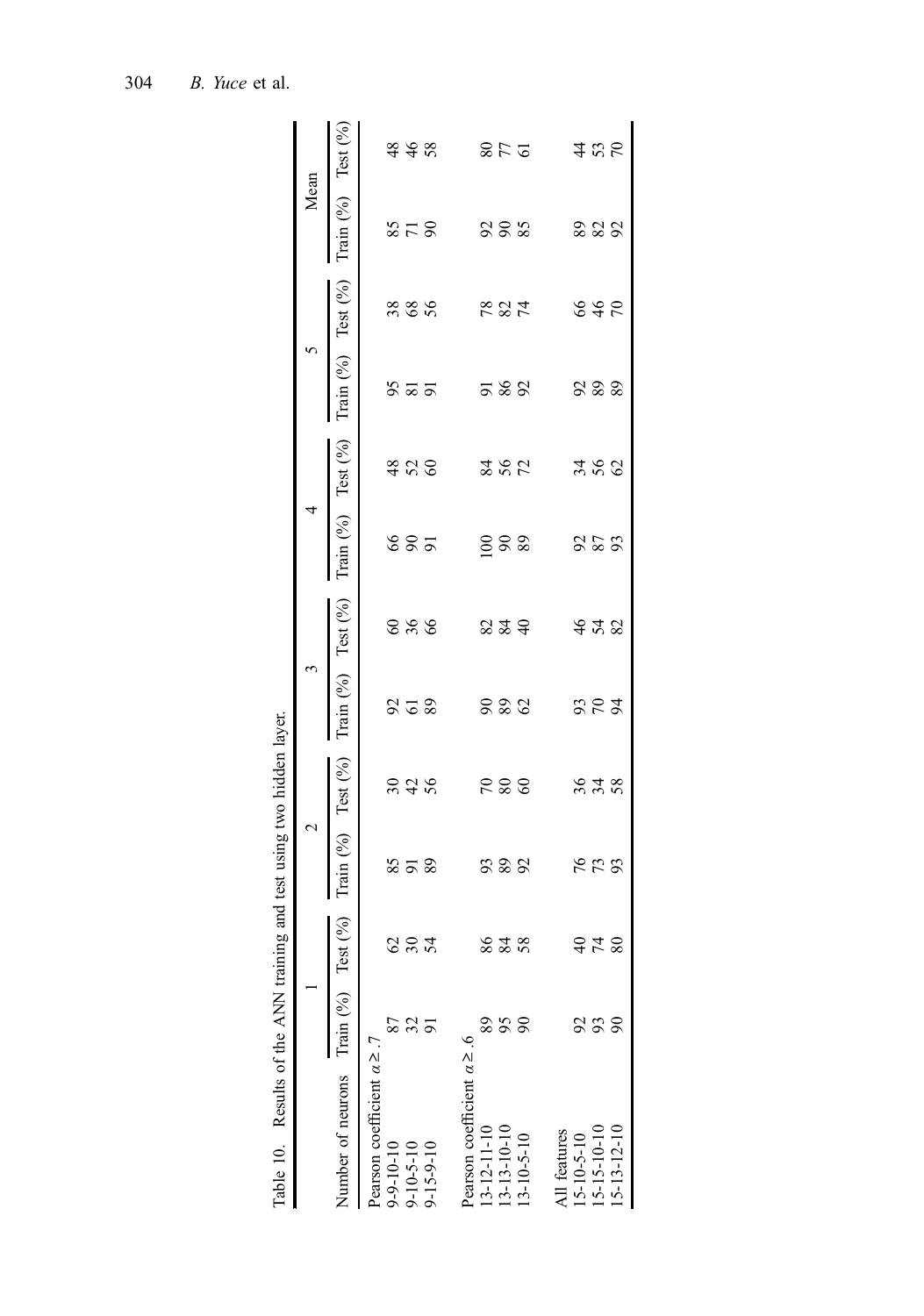<span id="page-15-0"></span>

| Table 10. Results of the ANN train          |    |             | iing and test using two hidden layer. |     |                          |       |                            |             |                          |      |                   |            |
|---------------------------------------------|----|-------------|---------------------------------------|-----|--------------------------|-------|----------------------------|-------------|--------------------------|------|-------------------|------------|
|                                             |    |             | $\mathbf 2$                           |     |                          |       | 4                          |             | 5                        |      | Mean              |            |
| Number of neurons Train $(^{9}\text{o})$ Te |    | $(9/9)$ 385 | Train $(\%)$ Test $(\%)$              |     | Train $(\%)$ Test $(\%)$ |       | Train $(9/0)$ Test $(9/0)$ |             | Train $(\%)$ Test $(\%)$ |      | Train $(\%)$ Test |            |
| Pearson coefficient $\alpha \geq .7$        |    |             |                                       |     |                          |       |                            |             |                          |      |                   |            |
| $9 - 9 - 10 - 10$                           |    |             |                                       |     |                          |       |                            |             |                          |      |                   |            |
| $9 - 10 - 5 - 10$                           |    | <b>824</b>  | 858                                   | 248 | 252                      | 8 % % | 8 S 5                      | \$88        | \$35                     | 3880 | 378               | 448        |
| $-15 - 9 - 10$                              |    |             |                                       |     |                          |       |                            |             |                          |      |                   |            |
| Pearson coefficient $\alpha \ge 0.6$        |    |             |                                       |     |                          |       |                            |             |                          |      |                   |            |
| 13-12-11-10                                 |    |             |                                       |     |                          |       |                            |             |                          |      |                   |            |
| 13-13-10-10                                 | 56 | 828         | 222                                   | 288 | 888                      | 2340  | 888                        | <b>2502</b> | 588                      | 7827 | 288               | <b>278</b> |
| 13-10-5-10                                  |    |             |                                       |     |                          |       |                            |             |                          |      |                   |            |
| All features                                |    |             |                                       |     |                          |       |                            |             |                          |      |                   |            |
| $15 - 10 - 5 - 10$                          |    |             |                                       |     |                          |       |                            |             |                          |      |                   |            |
| 15-15-10-10                                 | S  | 378         | 553                                   | 348 | 252                      | 448   | 858                        | 36<br>26    | 8.88                     | 848  | 2252              | 485        |
| 15-13-12-10                                 |    |             |                                       |     |                          |       |                            |             |                          |      |                   |            |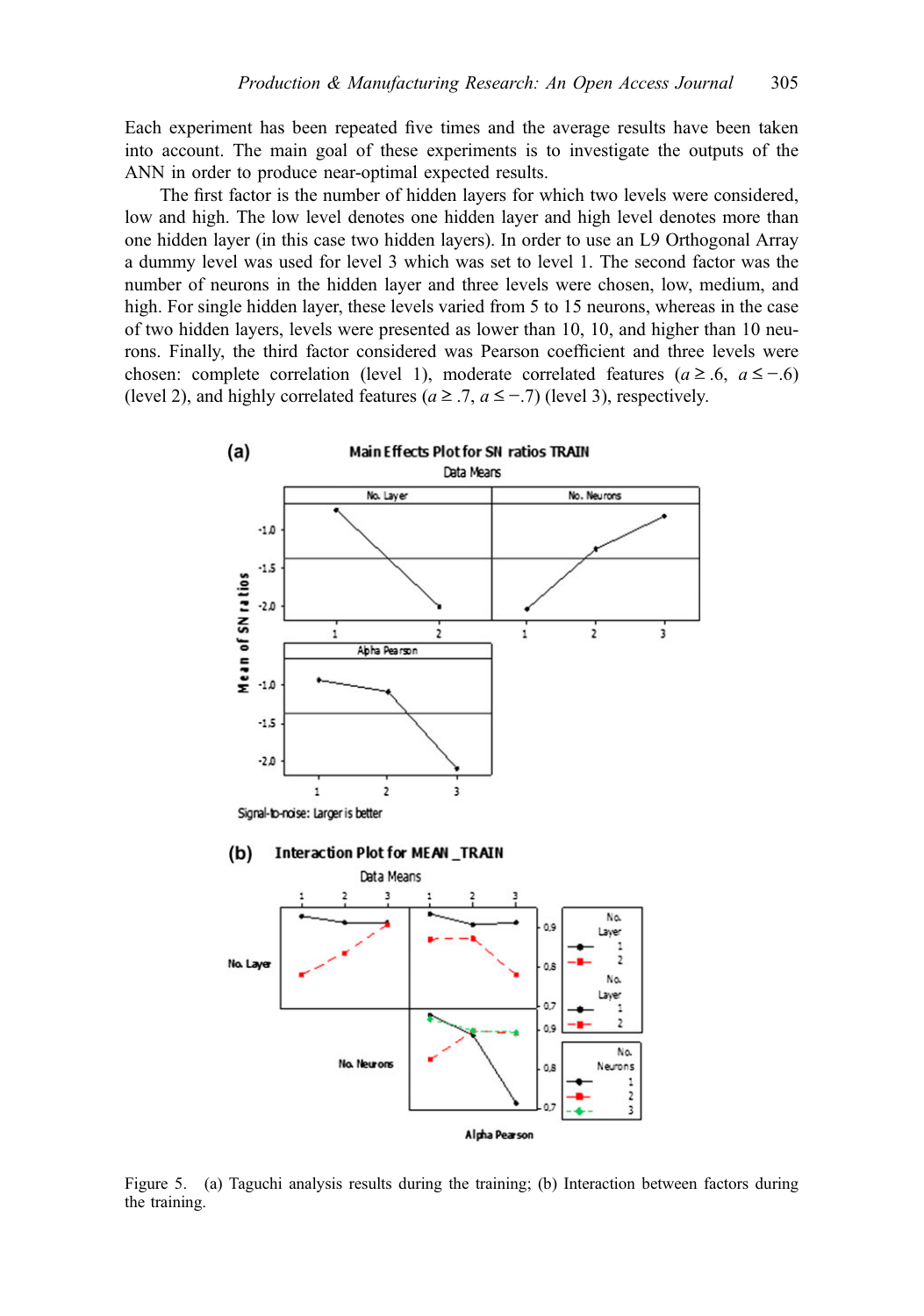<span id="page-16-0"></span>Each experiment has been repeated five times and the average results have been taken into account. The main goal of these experiments is to investigate the outputs of the ANN in order to produce near-optimal expected results.

The first factor is the number of hidden layers for which two levels were considered, low and high. The low level denotes one hidden layer and high level denotes more than one hidden layer (in this case two hidden layers). In order to use an L9 Orthogonal Array a dummy level was used for level 3 which was set to level 1. The second factor was the number of neurons in the hidden layer and three levels were chosen, low, medium, and high. For single hidden layer, these levels varied from 5 to 15 neurons, whereas in the case of two hidden layers, levels were presented as lower than 10, 10, and higher than 10 neurons. Finally, the third factor considered was Pearson coefficient and three levels were chosen: complete correlation (level 1), moderate correlated features ( $a \ge 0.6$ ,  $a \le -0.6$ ) (level 2), and highly correlated features ( $a \ge 0.7$ ,  $a \le -0.7$ ) (level 3), respectively.



Figure 5. (a) Taguchi analysis results during the training; (b) Interaction between factors during the training.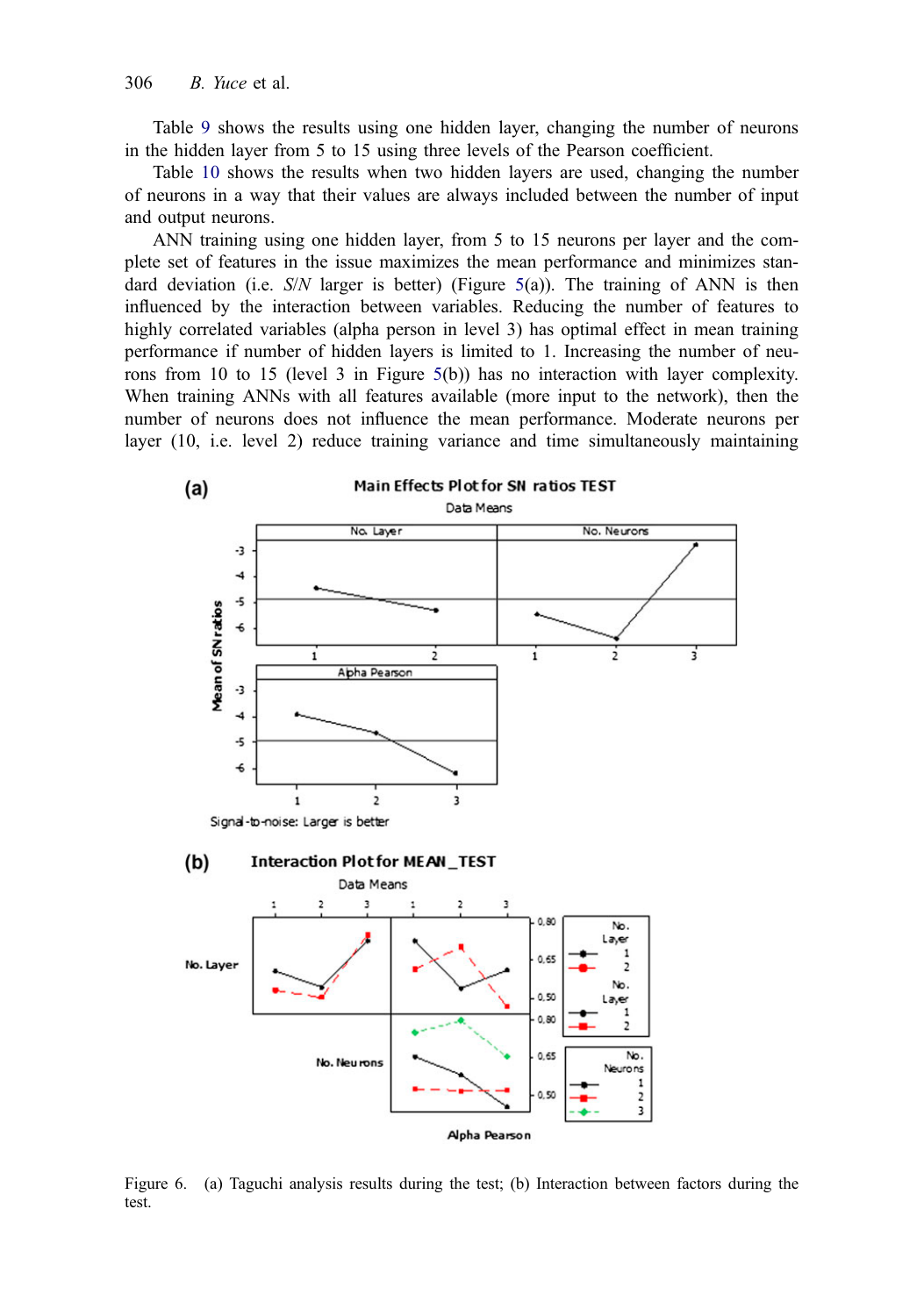<span id="page-17-0"></span>Table [9](#page-14-0) shows the results using one hidden layer, changing the number of neurons in the hidden layer from 5 to 15 using three levels of the Pearson coefficient.

Table [10](#page-15-0) shows the results when two hidden layers are used, changing the number of neurons in a way that their values are always included between the number of input and output neurons.

ANN training using one hidden layer, from 5 to 15 neurons per layer and the complete set of features in the issue maximizes the mean performance and minimizes standard deviation (i.e.  $S/N$  larger is better) (Figure [5](#page-16-0)(a)). The training of ANN is then influenced by the interaction between variables. Reducing the number of features to highly correlated variables (alpha person in level 3) has optimal effect in mean training performance if number of hidden layers is limited to 1. Increasing the number of neurons from 10 to 15 (level 3 in Figure [5](#page-16-0)(b)) has no interaction with layer complexity. When training ANNs with all features available (more input to the network), then the number of neurons does not influence the mean performance. Moderate neurons per layer (10, i.e. level 2) reduce training variance and time simultaneously maintaining



Figure 6. (a) Taguchi analysis results during the test; (b) Interaction between factors during the test.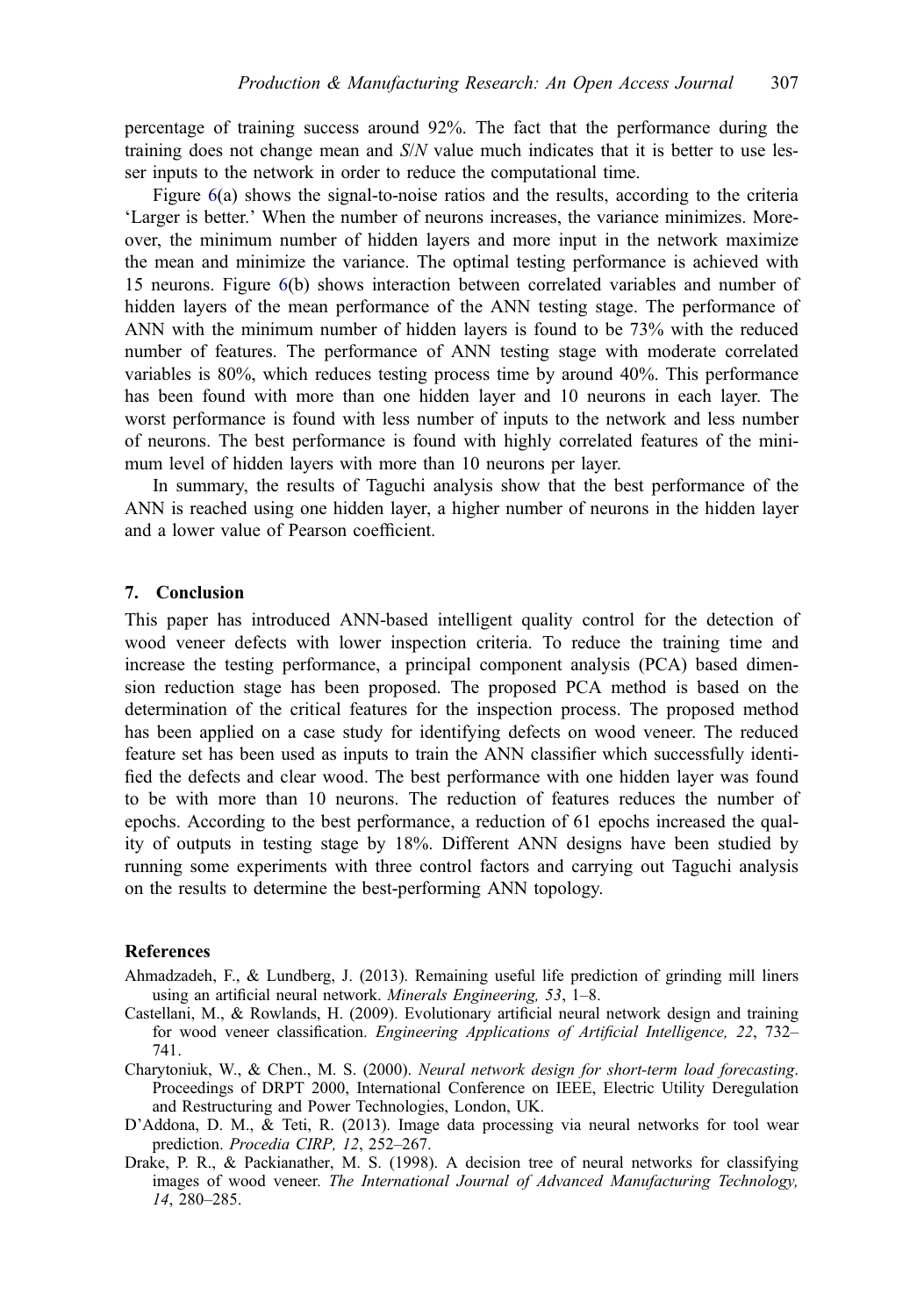<span id="page-18-0"></span>percentage of training success around 92%. The fact that the performance during the training does not change mean and  $S/N$  value much indicates that it is better to use lesser inputs to the network in order to reduce the computational time.

Figure [6](#page-17-0)(a) shows the signal-to-noise ratios and the results, according to the criteria 'Larger is better.' When the number of neurons increases, the variance minimizes. Moreover, the minimum number of hidden layers and more input in the network maximize the mean and minimize the variance. The optimal testing performance is achieved with 15 neurons. Figure [6\(](#page-17-0)b) shows interaction between correlated variables and number of hidden layers of the mean performance of the ANN testing stage. The performance of ANN with the minimum number of hidden layers is found to be 73% with the reduced number of features. The performance of ANN testing stage with moderate correlated variables is 80%, which reduces testing process time by around 40%. This performance has been found with more than one hidden layer and 10 neurons in each layer. The worst performance is found with less number of inputs to the network and less number of neurons. The best performance is found with highly correlated features of the minimum level of hidden layers with more than 10 neurons per layer.

In summary, the results of Taguchi analysis show that the best performance of the ANN is reached using one hidden layer, a higher number of neurons in the hidden layer and a lower value of Pearson coefficient.

#### 7. Conclusion

This paper has introduced ANN-based intelligent quality control for the detection of wood veneer defects with lower inspection criteria. To reduce the training time and increase the testing performance, a principal component analysis (PCA) based dimension reduction stage has been proposed. The proposed PCA method is based on the determination of the critical features for the inspection process. The proposed method has been applied on a case study for identifying defects on wood veneer. The reduced feature set has been used as inputs to train the ANN classifier which successfully identified the defects and clear wood. The best performance with one hidden layer was found to be with more than 10 neurons. The reduction of features reduces the number of epochs. According to the best performance, a reduction of 61 epochs increased the quality of outputs in testing stage by 18%. Different ANN designs have been studied by running some experiments with three control factors and carrying out Taguchi analysis on the results to determine the best-performing ANN topology.

#### References

- Ahmadzadeh, F., & Lundberg, J. (2013). Remaining useful life prediction of grinding mill liners using an artificial neural network. Minerals Engineering, 53, 1–8.
- Castellani, M., & Rowlands, H. (2009). Evolutionary artificial neural network design and training for wood veneer classification. Engineering Applications of Artificial Intelligence, 22, 732– 741.
- Charytoniuk, W., & Chen., M. S. (2000). Neural network design for short-term load forecasting. Proceedings of DRPT 2000, International Conference on IEEE, Electric Utility Deregulation and Restructuring and Power Technologies, London, UK.
- D'Addona, D. M., & Teti, R. (2013). Image data processing via neural networks for tool wear prediction. Procedia CIRP, 12, 252–267.
- Drake, P. R., & Packianather, M. S. (1998). A decision tree of neural networks for classifying images of wood veneer. The International Journal of Advanced Manufacturing Technology, 14, 280–285.